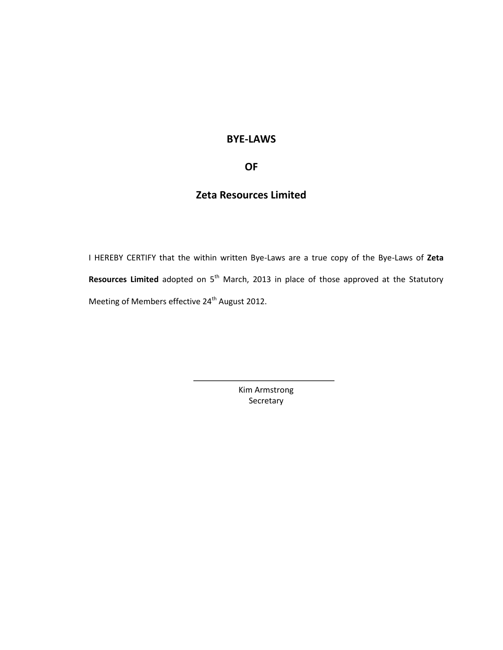# **BYE-LAWS**

# **OF**

# **Zeta Resources Limited**

I HEREBY CERTIFY that the within written Bye-Laws are a true copy of the Bye-Laws of **Zeta**  Resources Limited adopted on 5<sup>th</sup> March, 2013 in place of those approved at the Statutory Meeting of Members effective 24<sup>th</sup> August 2012.

> Kim Armstrong Secretary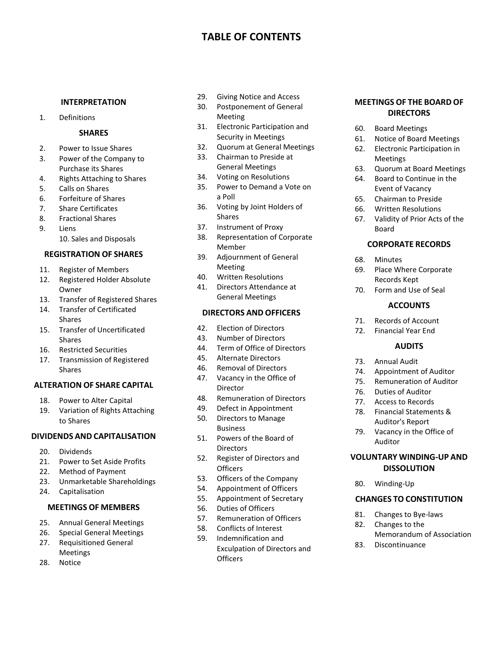# **TABLE OF CONTENTS**

#### **INTERPRETATION**

1. Definitions

#### **SHARES**

- 2. Power to Issue Shares
- 3. Power of the Company to Purchase its Shares
- 4. Rights Attaching to Shares
- 5. Calls on Shares
- 6. Forfeiture of Shares
- 7. Share Certificates
- 8. Fractional Shares
- 9. Liens 10. Sales and Disposals

#### **REGISTRATION OF SHARES**

- 11. Register of Members
- 12. Registered Holder Absolute Owner
- 13. Transfer of Registered Shares
- 14. Transfer of Certificated Shares
- 15. Transfer of Uncertificated Shares
- 16. Restricted Securities
- 17. Transmission of Registered Shares

#### **ALTERATION OF SHARE CAPITAL**

- 18. Power to Alter Capital
- 19. Variation of Rights Attaching to Shares

#### **DIVIDENDS AND CAPITALISATION**

- 20. Dividends
- 21. Power to Set Aside Profits
- 22. Method of Payment<br>23. Unmarketable Share
- Unmarketable Shareholdings
- 24. Capitalisation

#### **MEETINGS OF MEMBERS**

- 25. Annual General Meetings
- 26. Special General Meetings
- 27. Requisitioned General Meetings
- 28. Notice
- 29. Giving Notice and Access
- 30. Postponement of General Meeting
- 31. Electronic Participation and Security in Meetings
- 32. Quorum at General Meetings
- 33. Chairman to Preside at
- General Meetings
- 34. Voting on Resolutions
- 35. Power to Demand a Vote on a Poll
- 36. Voting by Joint Holders of Shares
- 37. Instrument of Proxy
- 38. Representation of Corporate Member
- 39. Adjournment of General Meeting
- 40. Written Resolutions
- 41. Directors Attendance at General Meetings

#### **DIRECTORS AND OFFICERS**

- 42. Election of Directors
- 43. Number of Directors
- 44. Term of Office of Directors
- 45. Alternate Directors
- 46. Removal of Directors
- 47. Vacancy in the Office of Director
- 48. Remuneration of Directors
- 49. Defect in Appointment
- 50. Directors to Manage Business
- 51. Powers of the Board of **Directors**
- 52. Register of Directors and **Officers**
- 53. Officers of the Company
- 54. Appointment of Officers
- 55. Appointment of Secretary
- 56. Duties of Officers
- 57. Remuneration of Officers
- 58. Conflicts of Interest
- 59. Indemnification and Exculpation of Directors and **Officers**

#### **MEETINGS OF THE BOARD OF DIRECTORS**

- 60. Board Meetings
- 61. Notice of Board Meetings
- 62. Electronic Participation in Meetings
- 63. Quorum at Board Meetings
- 64. Board to Continue in the Event of Vacancy
- 65. Chairman to Preside
- 66. Written Resolutions
- 67. Validity of Prior Acts of the Board

#### **CORPORATE RECORDS**

- 68. Minutes
- 69. Place Where Corporate Records Kept
- 70. Form and Use of Seal

#### **ACCOUNTS**

- 71. Records of Account
- 72. Financial Year End

#### **AUDITS**

- 73. Annual Audit
- 74. Appointment of Auditor
- 75. Remuneration of Auditor
- 76. Duties of Auditor
- 77. Access to Records
- 78. Financial Statements & Auditor's Report
- 79. Vacancy in the Office of Auditor

## **VOLUNTARY WINDING-UP AND DISSOLUTION**

80. Winding-Up

#### **CHANGES TO CONSTITUTION**

- 81. Changes to Bye-laws
- 82. Changes to the Memorandum of Association
- 83. Discontinuance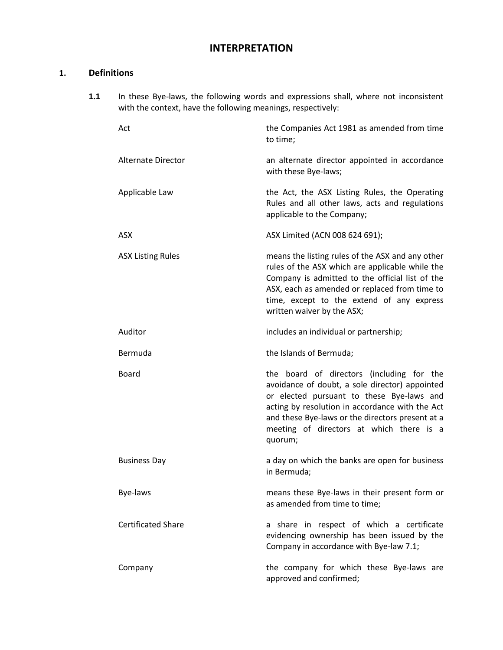# **INTERPRETATION**

# **1. Definitions**

**1.1** In these Bye-laws, the following words and expressions shall, where not inconsistent with the context, have the following meanings, respectively:

| Act                       | the Companies Act 1981 as amended from time<br>to time;                                                                                                                                                                                                                                                |
|---------------------------|--------------------------------------------------------------------------------------------------------------------------------------------------------------------------------------------------------------------------------------------------------------------------------------------------------|
| <b>Alternate Director</b> | an alternate director appointed in accordance<br>with these Bye-laws;                                                                                                                                                                                                                                  |
| Applicable Law            | the Act, the ASX Listing Rules, the Operating<br>Rules and all other laws, acts and regulations<br>applicable to the Company;                                                                                                                                                                          |
| ASX                       | ASX Limited (ACN 008 624 691);                                                                                                                                                                                                                                                                         |
| <b>ASX Listing Rules</b>  | means the listing rules of the ASX and any other<br>rules of the ASX which are applicable while the<br>Company is admitted to the official list of the<br>ASX, each as amended or replaced from time to<br>time, except to the extend of any express<br>written waiver by the ASX;                     |
| Auditor                   | includes an individual or partnership;                                                                                                                                                                                                                                                                 |
| Bermuda                   | the Islands of Bermuda;                                                                                                                                                                                                                                                                                |
| Board                     | the board of directors (including for the<br>avoidance of doubt, a sole director) appointed<br>or elected pursuant to these Bye-laws and<br>acting by resolution in accordance with the Act<br>and these Bye-laws or the directors present at a<br>meeting of directors at which there is a<br>quorum; |
| <b>Business Day</b>       | a day on which the banks are open for business<br>in Bermuda;                                                                                                                                                                                                                                          |
| Bye-laws                  | means these Bye-laws in their present form or<br>as amended from time to time;                                                                                                                                                                                                                         |
| <b>Certificated Share</b> | a share in respect of which a certificate<br>evidencing ownership has been issued by the<br>Company in accordance with Bye-law 7.1;                                                                                                                                                                    |
| Company                   | the company for which these Bye-laws are<br>approved and confirmed;                                                                                                                                                                                                                                    |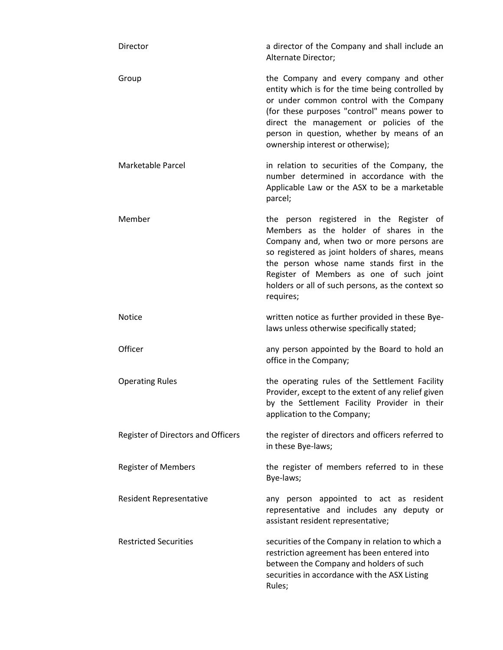| Director                           | a director of the Company and shall include an<br>Alternate Director;                                                                                                                                                                                                                                                                         |
|------------------------------------|-----------------------------------------------------------------------------------------------------------------------------------------------------------------------------------------------------------------------------------------------------------------------------------------------------------------------------------------------|
| Group                              | the Company and every company and other<br>entity which is for the time being controlled by<br>or under common control with the Company<br>(for these purposes "control" means power to<br>direct the management or policies of the<br>person in question, whether by means of an<br>ownership interest or otherwise);                        |
| Marketable Parcel                  | in relation to securities of the Company, the<br>number determined in accordance with the<br>Applicable Law or the ASX to be a marketable<br>parcel;                                                                                                                                                                                          |
| Member                             | the person registered in the Register of<br>Members as the holder of shares in the<br>Company and, when two or more persons are<br>so registered as joint holders of shares, means<br>the person whose name stands first in the<br>Register of Members as one of such joint<br>holders or all of such persons, as the context so<br>requires; |
| Notice                             | written notice as further provided in these Bye-<br>laws unless otherwise specifically stated;                                                                                                                                                                                                                                                |
| Officer                            | any person appointed by the Board to hold an<br>office in the Company;                                                                                                                                                                                                                                                                        |
| <b>Operating Rules</b>             | the operating rules of the Settlement Facility<br>Provider, except to the extent of any relief given<br>by the Settlement Facility Provider in their<br>application to the Company;                                                                                                                                                           |
| Register of Directors and Officers | the register of directors and officers referred to<br>in these Bye-laws;                                                                                                                                                                                                                                                                      |
| <b>Register of Members</b>         | the register of members referred to in these<br>Bye-laws;                                                                                                                                                                                                                                                                                     |
| <b>Resident Representative</b>     | any person appointed to act as resident<br>representative and includes any deputy or<br>assistant resident representative;                                                                                                                                                                                                                    |
| <b>Restricted Securities</b>       | securities of the Company in relation to which a<br>restriction agreement has been entered into<br>between the Company and holders of such<br>securities in accordance with the ASX Listing<br>Rules;                                                                                                                                         |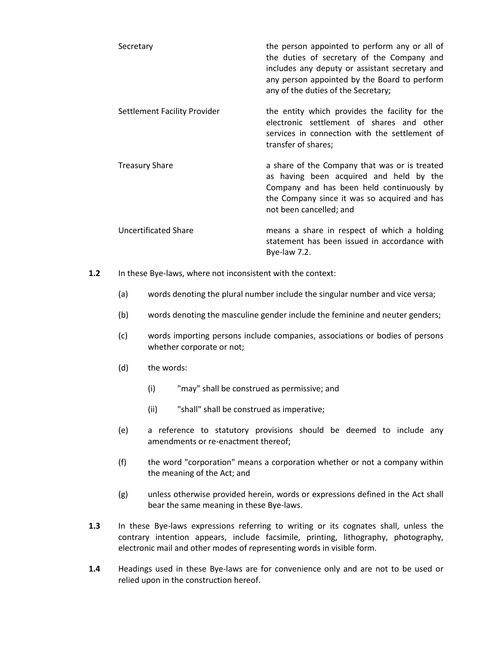| Secretary                    | the person appointed to perform any or all of<br>the duties of secretary of the Company and<br>includes any deputy or assistant secretary and<br>any person appointed by the Board to perform<br>any of the duties of the Secretary; |
|------------------------------|--------------------------------------------------------------------------------------------------------------------------------------------------------------------------------------------------------------------------------------|
| Settlement Facility Provider | the entity which provides the facility for the<br>electronic settlement of shares and other<br>services in connection with the settlement of<br>transfer of shares;                                                                  |
| <b>Treasury Share</b>        | a share of the Company that was or is treated<br>as having been acquired and held by the<br>Company and has been held continuously by<br>the Company since it was so acquired and has<br>not been cancelled; and                     |
| Uncertificated Share         | means a share in respect of which a holding<br>statement has been issued in accordance with<br>Bye-law $7.2$ .                                                                                                                       |

- **1.2** In these Bye-laws, where not inconsistent with the context:
	- (a) words denoting the plural number include the singular number and vice versa;
	- (b) words denoting the masculine gender include the feminine and neuter genders;
	- (c) words importing persons include companies, associations or bodies of persons whether corporate or not;
	- (d) the words:
		- (i) "may" shall be construed as permissive; and
		- (ii) "shall" shall be construed as imperative;
	- (e) a reference to statutory provisions should be deemed to include any amendments or re-enactment thereof;
	- (f) the word "corporation" means a corporation whether or not a company within the meaning of the Act; and
	- (g) unless otherwise provided herein, words or expressions defined in the Act shall bear the same meaning in these Bye-laws.
- **1.3** In these Bye-laws expressions referring to writing or its cognates shall, unless the contrary intention appears, include facsimile, printing, lithography, photography, electronic mail and other modes of representing words in visible form.
- **1.4** Headings used in these Bye-laws are for convenience only and are not to be used or relied upon in the construction hereof.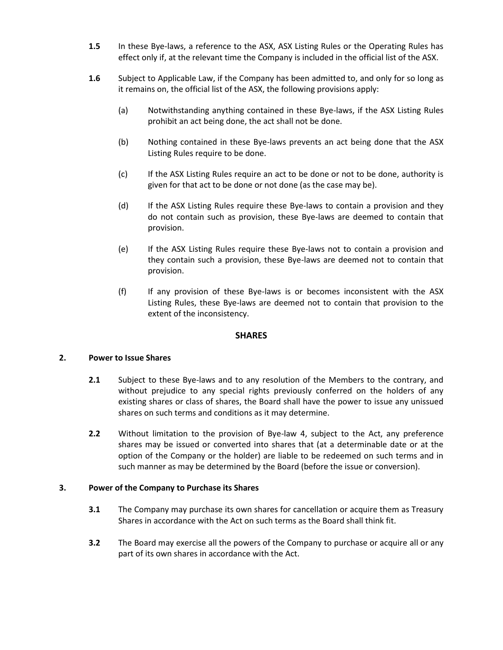- **1.5** In these Bye-laws, a reference to the ASX, ASX Listing Rules or the Operating Rules has effect only if, at the relevant time the Company is included in the official list of the ASX.
- **1.6** Subject to Applicable Law, if the Company has been admitted to, and only for so long as it remains on, the official list of the ASX, the following provisions apply:
	- (a) Notwithstanding anything contained in these Bye-laws, if the ASX Listing Rules prohibit an act being done, the act shall not be done.
	- (b) Nothing contained in these Bye-laws prevents an act being done that the ASX Listing Rules require to be done.
	- (c) If the ASX Listing Rules require an act to be done or not to be done, authority is given for that act to be done or not done (as the case may be).
	- (d) If the ASX Listing Rules require these Bye-laws to contain a provision and they do not contain such as provision, these Bye-laws are deemed to contain that provision.
	- (e) If the ASX Listing Rules require these Bye-laws not to contain a provision and they contain such a provision, these Bye-laws are deemed not to contain that provision.
	- (f) If any provision of these Bye-laws is or becomes inconsistent with the ASX Listing Rules, these Bye-laws are deemed not to contain that provision to the extent of the inconsistency.

## **SHARES**

## **2. Power to Issue Shares**

- **2.1** Subject to these Bye-laws and to any resolution of the Members to the contrary, and without prejudice to any special rights previously conferred on the holders of any existing shares or class of shares, the Board shall have the power to issue any unissued shares on such terms and conditions as it may determine.
- **2.2** Without limitation to the provision of Bye-law [4,](#page-6-0) subject to the Act, any preference shares may be issued or converted into shares that (at a determinable date or at the option of the Company or the holder) are liable to be redeemed on such terms and in such manner as may be determined by the Board (before the issue or conversion).

## **3. Power of the Company to Purchase its Shares**

- **3.1** The Company may purchase its own shares for cancellation or acquire them as Treasury Shares in accordance with the Act on such terms as the Board shall think fit.
- **3.2** The Board may exercise all the powers of the Company to purchase or acquire all or any part of its own shares in accordance with the Act.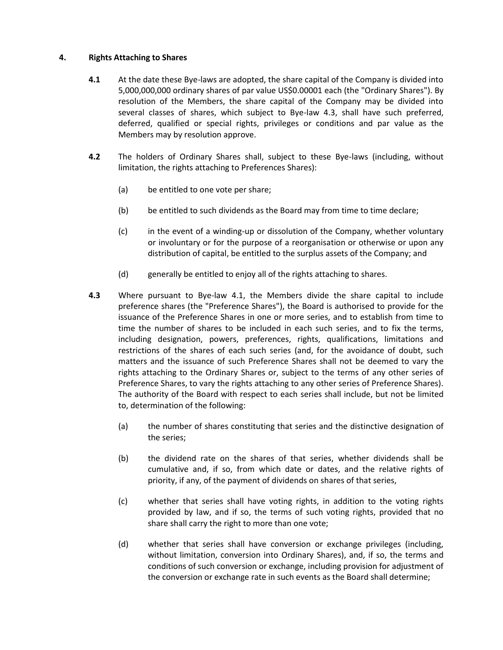#### <span id="page-6-2"></span><span id="page-6-0"></span>**4. Rights Attaching to Shares**

- **4.1** At the date these Bye-laws are adopted, the share capital of the Company is divided into 5,000,000,000 ordinary shares of par value US\$0.00001 each (the "Ordinary Shares"). By resolution of the Members, the share capital of the Company may be divided into several classes of shares, which subject to Bye-law [4.3,](#page-6-1) shall have such preferred, deferred, qualified or special rights, privileges or conditions and par value as the Members may by resolution approve.
- **4.2** The holders of Ordinary Shares shall, subject to these Bye-laws (including, without limitation, the rights attaching to Preferences Shares):
	- (a) be entitled to one vote per share;
	- (b) be entitled to such dividends as the Board may from time to time declare;
	- (c) in the event of a winding-up or dissolution of the Company, whether voluntary or involuntary or for the purpose of a reorganisation or otherwise or upon any distribution of capital, be entitled to the surplus assets of the Company; and
	- (d) generally be entitled to enjoy all of the rights attaching to shares.
- <span id="page-6-1"></span>**4.3** Where pursuant to Bye-law [4.1,](#page-6-2) the Members divide the share capital to include preference shares (the "Preference Shares"), the Board is authorised to provide for the issuance of the Preference Shares in one or more series, and to establish from time to time the number of shares to be included in each such series, and to fix the terms, including designation, powers, preferences, rights, qualifications, limitations and restrictions of the shares of each such series (and, for the avoidance of doubt, such matters and the issuance of such Preference Shares shall not be deemed to vary the rights attaching to the Ordinary Shares or, subject to the terms of any other series of Preference Shares, to vary the rights attaching to any other series of Preference Shares). The authority of the Board with respect to each series shall include, but not be limited to, determination of the following:
	- (a) the number of shares constituting that series and the distinctive designation of the series;
	- (b) the dividend rate on the shares of that series, whether dividends shall be cumulative and, if so, from which date or dates, and the relative rights of priority, if any, of the payment of dividends on shares of that series,
	- (c) whether that series shall have voting rights, in addition to the voting rights provided by law, and if so, the terms of such voting rights, provided that no share shall carry the right to more than one vote;
	- (d) whether that series shall have conversion or exchange privileges (including, without limitation, conversion into Ordinary Shares), and, if so, the terms and conditions of such conversion or exchange, including provision for adjustment of the conversion or exchange rate in such events as the Board shall determine;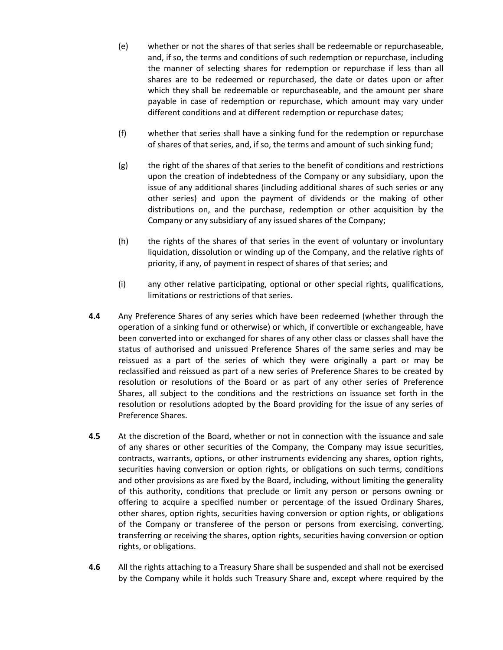- (e) whether or not the shares of that series shall be redeemable or repurchaseable, and, if so, the terms and conditions of such redemption or repurchase, including the manner of selecting shares for redemption or repurchase if less than all shares are to be redeemed or repurchased, the date or dates upon or after which they shall be redeemable or repurchaseable, and the amount per share payable in case of redemption or repurchase, which amount may vary under different conditions and at different redemption or repurchase dates;
- (f) whether that series shall have a sinking fund for the redemption or repurchase of shares of that series, and, if so, the terms and amount of such sinking fund;
- (g) the right of the shares of that series to the benefit of conditions and restrictions upon the creation of indebtedness of the Company or any subsidiary, upon the issue of any additional shares (including additional shares of such series or any other series) and upon the payment of dividends or the making of other distributions on, and the purchase, redemption or other acquisition by the Company or any subsidiary of any issued shares of the Company;
- (h) the rights of the shares of that series in the event of voluntary or involuntary liquidation, dissolution or winding up of the Company, and the relative rights of priority, if any, of payment in respect of shares of that series; and
- (i) any other relative participating, optional or other special rights, qualifications, limitations or restrictions of that series.
- **4.4** Any Preference Shares of any series which have been redeemed (whether through the operation of a sinking fund or otherwise) or which, if convertible or exchangeable, have been converted into or exchanged for shares of any other class or classes shall have the status of authorised and unissued Preference Shares of the same series and may be reissued as a part of the series of which they were originally a part or may be reclassified and reissued as part of a new series of Preference Shares to be created by resolution or resolutions of the Board or as part of any other series of Preference Shares, all subject to the conditions and the restrictions on issuance set forth in the resolution or resolutions adopted by the Board providing for the issue of any series of Preference Shares.
- **4.5** At the discretion of the Board, whether or not in connection with the issuance and sale of any shares or other securities of the Company, the Company may issue securities, contracts, warrants, options, or other instruments evidencing any shares, option rights, securities having conversion or option rights, or obligations on such terms, conditions and other provisions as are fixed by the Board, including, without limiting the generality of this authority, conditions that preclude or limit any person or persons owning or offering to acquire a specified number or percentage of the issued Ordinary Shares, other shares, option rights, securities having conversion or option rights, or obligations of the Company or transferee of the person or persons from exercising, converting, transferring or receiving the shares, option rights, securities having conversion or option rights, or obligations.
- **4.6** All the rights attaching to a Treasury Share shall be suspended and shall not be exercised by the Company while it holds such Treasury Share and, except where required by the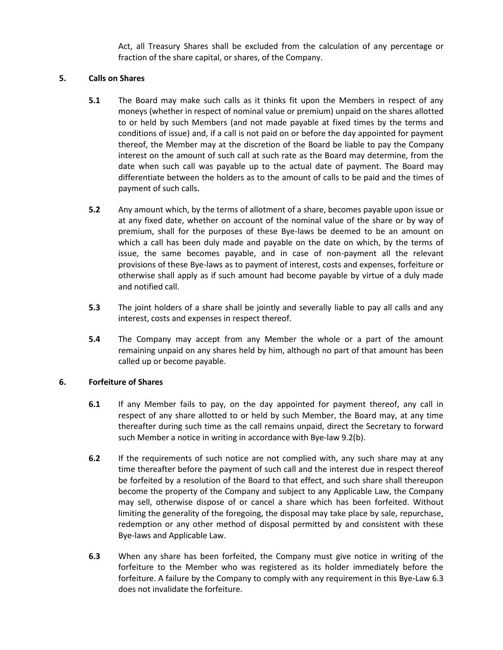Act, all Treasury Shares shall be excluded from the calculation of any percentage or fraction of the share capital, or shares, of the Company.

## <span id="page-8-2"></span>**5. Calls on Shares**

- **5.1** The Board may make such calls as it thinks fit upon the Members in respect of any moneys (whether in respect of nominal value or premium) unpaid on the shares allotted to or held by such Members (and not made payable at fixed times by the terms and conditions of issue) and, if a call is not paid on or before the day appointed for payment thereof, the Member may at the discretion of the Board be liable to pay the Company interest on the amount of such call at such rate as the Board may determine, from the date when such call was payable up to the actual date of payment. The Board may differentiate between the holders as to the amount of calls to be paid and the times of payment of such calls.
- **5.2** Any amount which, by the terms of allotment of a share, becomes payable upon issue or at any fixed date, whether on account of the nominal value of the share or by way of premium, shall for the purposes of these Bye-laws be deemed to be an amount on which a call has been duly made and payable on the date on which, by the terms of issue, the same becomes payable, and in case of non-payment all the relevant provisions of these Bye-laws as to payment of interest, costs and expenses, forfeiture or otherwise shall apply as if such amount had become payable by virtue of a duly made and notified call.
- **5.3** The joint holders of a share shall be jointly and severally liable to pay all calls and any interest, costs and expenses in respect thereof.
- **5.4** The Company may accept from any Member the whole or a part of the amount remaining unpaid on any shares held by him, although no part of that amount has been called up or become payable.

## <span id="page-8-1"></span>**6. Forfeiture of Shares**

- **6.1** If any Member fails to pay, on the day appointed for payment thereof, any call in respect of any share allotted to or held by such Member, the Board may, at any time thereafter during such time as the call remains unpaid, direct the Secretary to forward such Member a notice in writing in accordance with Bye-law [9.2\(b\).](#page-10-0)
- **6.2** If the requirements of such notice are not complied with, any such share may at any time thereafter before the payment of such call and the interest due in respect thereof be forfeited by a resolution of the Board to that effect, and such share shall thereupon become the property of the Company and subject to any Applicable Law, the Company may sell, otherwise dispose of or cancel a share which has been forfeited. Without limiting the generality of the foregoing, the disposal may take place by sale, repurchase, redemption or any other method of disposal permitted by and consistent with these Bye-laws and Applicable Law.
- <span id="page-8-0"></span>**6.3** When any share has been forfeited, the Company must give notice in writing of the forfeiture to the Member who was registered as its holder immediately before the forfeiture. A failure by the Company to comply with any requirement in this Bye-Law [6.3](#page-8-0) does not invalidate the forfeiture.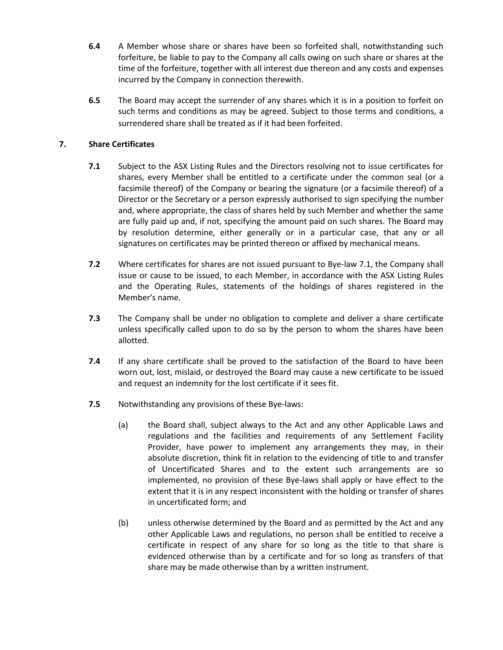- **6.4** A Member whose share or shares have been so forfeited shall, notwithstanding such forfeiture, be liable to pay to the Company all calls owing on such share or shares at the time of the forfeiture, together with all interest due thereon and any costs and expenses incurred by the Company in connection therewith.
- **6.5** The Board may accept the surrender of any shares which it is in a position to forfeit on such terms and conditions as may be agreed. Subject to those terms and conditions, a surrendered share shall be treated as if it had been forfeited.

# <span id="page-9-0"></span>**7. Share Certificates**

- **7.1** Subject to the ASX Listing Rules and the Directors resolving not to issue certificates for shares, every Member shall be entitled to a certificate under the common seal (or a facsimile thereof) of the Company or bearing the signature (or a facsimile thereof) of a Director or the Secretary or a person expressly authorised to sign specifying the number and, where appropriate, the class of shares held by such Member and whether the same are fully paid up and, if not, specifying the amount paid on such shares. The Board may by resolution determine, either generally or in a particular case, that any or all signatures on certificates may be printed thereon or affixed by mechanical means.
- <span id="page-9-1"></span>**7.2** Where certificates for shares are not issued pursuant to Bye-law [7.1,](#page-9-0) the Company shall issue or cause to be issued, to each Member, in accordance with the ASX Listing Rules and the Operating Rules, statements of the holdings of shares registered in the Member's name.
- **7.3** The Company shall be under no obligation to complete and deliver a share certificate unless specifically called upon to do so by the person to whom the shares have been allotted.
- **7.4** If any share certificate shall be proved to the satisfaction of the Board to have been worn out, lost, mislaid, or destroyed the Board may cause a new certificate to be issued and request an indemnity for the lost certificate if it sees fit.
- **7.5** Notwithstanding any provisions of these Bye-laws:
	- (a) the Board shall, subject always to the Act and any other Applicable Laws and regulations and the facilities and requirements of any Settlement Facility Provider, have power to implement any arrangements they may, in their absolute discretion, think fit in relation to the evidencing of title to and transfer of Uncertificated Shares and to the extent such arrangements are so implemented, no provision of these Bye-laws shall apply or have effect to the extent that it is in any respect inconsistent with the holding or transfer of shares in uncertificated form; and
	- (b) unless otherwise determined by the Board and as permitted by the Act and any other Applicable Laws and regulations, no person shall be entitled to receive a certificate in respect of any share for so long as the title to that share is evidenced otherwise than by a certificate and for so long as transfers of that share may be made otherwise than by a written instrument.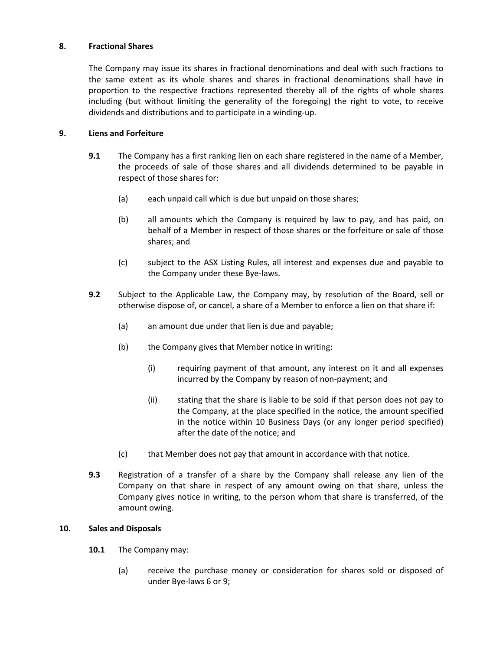## **8. Fractional Shares**

The Company may issue its shares in fractional denominations and deal with such fractions to the same extent as its whole shares and shares in fractional denominations shall have in proportion to the respective fractions represented thereby all of the rights of whole shares including (but without limiting the generality of the foregoing) the right to vote, to receive dividends and distributions and to participate in a winding-up.

## <span id="page-10-1"></span>**9. Liens and Forfeiture**

- **9.1** The Company has a first ranking lien on each share registered in the name of a Member, the proceeds of sale of those shares and all dividends determined to be payable in respect of those shares for:
	- (a) each unpaid call which is due but unpaid on those shares;
	- (b) all amounts which the Company is required by law to pay, and has paid, on behalf of a Member in respect of those shares or the forfeiture or sale of those shares; and
	- (c) subject to the ASX Listing Rules, all interest and expenses due and payable to the Company under these Bye-laws.
- <span id="page-10-0"></span>**9.2** Subject to the Applicable Law, the Company may, by resolution of the Board, sell or otherwise dispose of, or cancel, a share of a Member to enforce a lien on that share if:
	- (a) an amount due under that lien is due and payable;
	- (b) the Company gives that Member notice in writing:
		- (i) requiring payment of that amount, any interest on it and all expenses incurred by the Company by reason of non-payment; and
		- (ii) stating that the share is liable to be sold if that person does not pay to the Company, at the place specified in the notice, the amount specified in the notice within 10 Business Days (or any longer period specified) after the date of the notice; and
	- (c) that Member does not pay that amount in accordance with that notice.
- **9.3** Registration of a transfer of a share by the Company shall release any lien of the Company on that share in respect of any amount owing on that share, unless the Company gives notice in writing, to the person whom that share is transferred, of the amount owing.

## **10. Sales and Disposals**

- **10.1** The Company may:
	- (a) receive the purchase money or consideration for shares sold or disposed of under Bye-law[s 6](#page-8-1) o[r 9;](#page-10-1)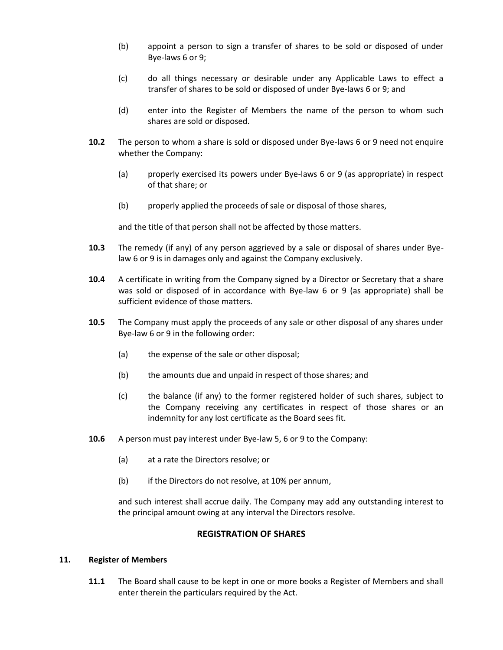- (b) appoint a person to sign a transfer of shares to be sold or disposed of under Bye-laws [6](#page-8-1) o[r 9;](#page-10-1)
- (c) do all things necessary or desirable under any Applicable Laws to effect a transfer of shares to be sold or disposed of under Bye-laws [6](#page-8-1) o[r 9;](#page-10-1) and
- (d) enter into the Register of Members the name of the person to whom such shares are sold or disposed.
- **10.2** The person to whom a share is sold or disposed under Bye-laws [6](#page-8-1) or [9](#page-10-1) need not enquire whether the Company:
	- (a) properly exercised its powers under Bye-laws [6](#page-8-1) or [9](#page-10-1) (as appropriate) in respect of that share; or
	- (b) properly applied the proceeds of sale or disposal of those shares,

and the title of that person shall not be affected by those matters.

- **10.3** The remedy (if any) of any person aggrieved by a sale or disposal of shares under Byelaw [6](#page-8-1) o[r 9](#page-10-1) is in damages only and against the Company exclusively.
- **10.4** A certificate in writing from the Company signed by a Director or Secretary that a share was sold or disposed of in accordance with Bye-law [6](#page-8-1) or [9](#page-10-1) (as appropriate) shall be sufficient evidence of those matters.
- **10.5** The Company must apply the proceeds of any sale or other disposal of any shares under Bye-law [6](#page-8-1) or [9](#page-10-1) in the following order:
	- (a) the expense of the sale or other disposal;
	- (b) the amounts due and unpaid in respect of those shares; and
	- (c) the balance (if any) to the former registered holder of such shares, subject to the Company receiving any certificates in respect of those shares or an indemnity for any lost certificate as the Board sees fit.
- **10.6** A person must pay interest under Bye-law [5,](#page-8-2) [6](#page-8-1) or [9](#page-10-1) to the Company:
	- (a) at a rate the Directors resolve; or
	- (b) if the Directors do not resolve, at 10% per annum,

and such interest shall accrue daily. The Company may add any outstanding interest to the principal amount owing at any interval the Directors resolve.

## **REGISTRATION OF SHARES**

#### **11. Register of Members**

**11.1** The Board shall cause to be kept in one or more books a Register of Members and shall enter therein the particulars required by the Act.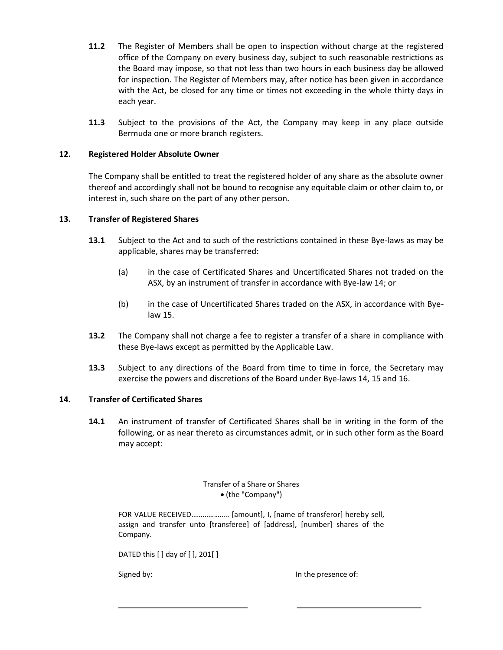- **11.2** The Register of Members shall be open to inspection without charge at the registered office of the Company on every business day, subject to such reasonable restrictions as the Board may impose, so that not less than two hours in each business day be allowed for inspection. The Register of Members may, after notice has been given in accordance with the Act, be closed for any time or times not exceeding in the whole thirty days in each year.
- **11.3** Subject to the provisions of the Act, the Company may keep in any place outside Bermuda one or more branch registers.

## **12. Registered Holder Absolute Owner**

The Company shall be entitled to treat the registered holder of any share as the absolute owner thereof and accordingly shall not be bound to recognise any equitable claim or other claim to, or interest in, such share on the part of any other person.

# **13. Transfer of Registered Shares**

- **13.1** Subject to the Act and to such of the restrictions contained in these Bye-laws as may be applicable, shares may be transferred:
	- (a) in the case of Certificated Shares and Uncertificated Shares not traded on the ASX, by an instrument of transfer in accordance with Bye-la[w 14;](#page-12-0) or
	- (b) in the case of Uncertificated Shares traded on the ASX, in accordance with Byelaw [15.](#page-13-0)
- **13.2** The Company shall not charge a fee to register a transfer of a share in compliance with these Bye-laws except as permitted by the Applicable Law.
- **13.3** Subject to any directions of the Board from time to time in force, the Secretary may exercise the powers and discretions of the Board under Bye-laws [14,](#page-12-0) [15](#page-13-0) an[d 16.](#page-14-0)

## <span id="page-12-0"></span>**14. Transfer of Certificated Shares**

**14.1** An instrument of transfer of Certificated Shares shall be in writing in the form of the following, or as near thereto as circumstances admit, or in such other form as the Board may accept:

#### Transfer of a Share or Shares (the "Company")

FOR VALUE RECEIVED……………….. [amount], I, [name of transferor] hereby sell, assign and transfer unto [transferee] of [address], [number] shares of the Company.

DATED this [ ] day of [ ], 201[ ]

Signed by: In the presence of: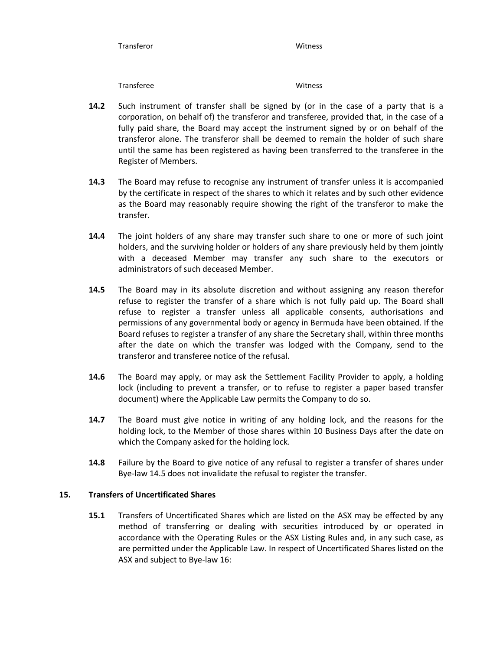Transferor Witness

Transferee Witness

- **14.2** Such instrument of transfer shall be signed by (or in the case of a party that is a corporation, on behalf of) the transferor and transferee, provided that, in the case of a fully paid share, the Board may accept the instrument signed by or on behalf of the transferor alone. The transferor shall be deemed to remain the holder of such share until the same has been registered as having been transferred to the transferee in the Register of Members.
- **14.3** The Board may refuse to recognise any instrument of transfer unless it is accompanied by the certificate in respect of the shares to which it relates and by such other evidence as the Board may reasonably require showing the right of the transferor to make the transfer.
- **14.4** The joint holders of any share may transfer such share to one or more of such joint holders, and the surviving holder or holders of any share previously held by them jointly with a deceased Member may transfer any such share to the executors or administrators of such deceased Member.
- <span id="page-13-1"></span>**14.5** The Board may in its absolute discretion and without assigning any reason therefor refuse to register the transfer of a share which is not fully paid up. The Board shall refuse to register a transfer unless all applicable consents, authorisations and permissions of any governmental body or agency in Bermuda have been obtained. If the Board refuses to register a transfer of any share the Secretary shall, within three months after the date on which the transfer was lodged with the Company, send to the transferor and transferee notice of the refusal.
- **14.6** The Board may apply, or may ask the Settlement Facility Provider to apply, a holding lock (including to prevent a transfer, or to refuse to register a paper based transfer document) where the Applicable Law permits the Company to do so.
- **14.7** The Board must give notice in writing of any holding lock, and the reasons for the holding lock, to the Member of those shares within 10 Business Days after the date on which the Company asked for the holding lock.
- **14.8** Failure by the Board to give notice of any refusal to register a transfer of shares under Bye-law [14.5](#page-13-1) does not invalidate the refusal to register the transfer.

## <span id="page-13-0"></span>**15. Transfers of Uncertificated Shares**

**15.1** Transfers of Uncertificated Shares which are listed on the ASX may be effected by any method of transferring or dealing with securities introduced by or operated in accordance with the Operating Rules or the ASX Listing Rules and, in any such case, as are permitted under the Applicable Law. In respect of Uncertificated Shares listed on the ASX and subject to Bye-la[w 16:](#page-14-0)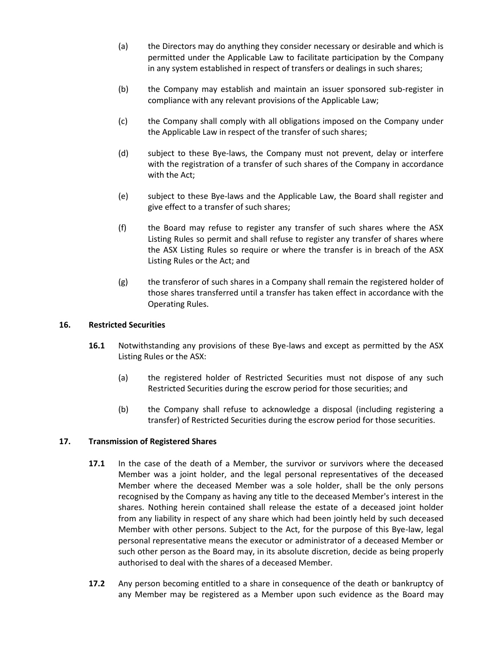- (a) the Directors may do anything they consider necessary or desirable and which is permitted under the Applicable Law to facilitate participation by the Company in any system established in respect of transfers or dealings in such shares;
- (b) the Company may establish and maintain an issuer sponsored sub-register in compliance with any relevant provisions of the Applicable Law;
- (c) the Company shall comply with all obligations imposed on the Company under the Applicable Law in respect of the transfer of such shares;
- (d) subject to these Bye-laws, the Company must not prevent, delay or interfere with the registration of a transfer of such shares of the Company in accordance with the Act;
- (e) subject to these Bye-laws and the Applicable Law, the Board shall register and give effect to a transfer of such shares;
- (f) the Board may refuse to register any transfer of such shares where the ASX Listing Rules so permit and shall refuse to register any transfer of shares where the ASX Listing Rules so require or where the transfer is in breach of the ASX Listing Rules or the Act; and
- (g) the transferor of such shares in a Company shall remain the registered holder of those shares transferred until a transfer has taken effect in accordance with the Operating Rules.

## <span id="page-14-0"></span>**16. Restricted Securities**

- **16.1** Notwithstanding any provisions of these Bye-laws and except as permitted by the ASX Listing Rules or the ASX:
	- (a) the registered holder of Restricted Securities must not dispose of any such Restricted Securities during the escrow period for those securities; and
	- (b) the Company shall refuse to acknowledge a disposal (including registering a transfer) of Restricted Securities during the escrow period for those securities.

## **17. Transmission of Registered Shares**

- **17.1** In the case of the death of a Member, the survivor or survivors where the deceased Member was a joint holder, and the legal personal representatives of the deceased Member where the deceased Member was a sole holder, shall be the only persons recognised by the Company as having any title to the deceased Member's interest in the shares. Nothing herein contained shall release the estate of a deceased joint holder from any liability in respect of any share which had been jointly held by such deceased Member with other persons. Subject to the Act, for the purpose of this Bye-law, legal personal representative means the executor or administrator of a deceased Member or such other person as the Board may, in its absolute discretion, decide as being properly authorised to deal with the shares of a deceased Member.
- **17.2** Any person becoming entitled to a share in consequence of the death or bankruptcy of any Member may be registered as a Member upon such evidence as the Board may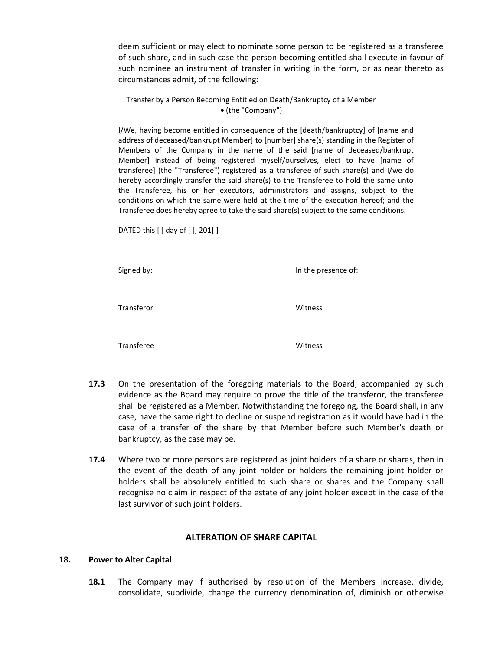deem sufficient or may elect to nominate some person to be registered as a transferee of such share, and in such case the person becoming entitled shall execute in favour of such nominee an instrument of transfer in writing in the form, or as near thereto as circumstances admit, of the following:

Transfer by a Person Becoming Entitled on Death/Bankruptcy of a Member (the "Company")

I/We, having become entitled in consequence of the [death/bankruptcy] of [name and address of deceased/bankrupt Member] to [number] share(s) standing in the Register of Members of the Company in the name of the said [name of deceased/bankrupt Member] instead of being registered myself/ourselves, elect to have [name of transferee] (the "Transferee") registered as a transferee of such share(s) and I/we do hereby accordingly transfer the said share(s) to the Transferee to hold the same unto the Transferee, his or her executors, administrators and assigns, subject to the conditions on which the same were held at the time of the execution hereof; and the Transferee does hereby agree to take the said share(s) subject to the same conditions.

DATED this [ ] day of [ ], 201[ ]

Signed by:  $\qquad \qquad$  In the presence of:

Transferor Witness

Transferee Witness

- **17.3** On the presentation of the foregoing materials to the Board, accompanied by such evidence as the Board may require to prove the title of the transferor, the transferee shall be registered as a Member. Notwithstanding the foregoing, the Board shall, in any case, have the same right to decline or suspend registration as it would have had in the case of a transfer of the share by that Member before such Member's death or bankruptcy, as the case may be.
- **17.4** Where two or more persons are registered as joint holders of a share or shares, then in the event of the death of any joint holder or holders the remaining joint holder or holders shall be absolutely entitled to such share or shares and the Company shall recognise no claim in respect of the estate of any joint holder except in the case of the last survivor of such joint holders.

## **ALTERATION OF SHARE CAPITAL**

#### **18. Power to Alter Capital**

**18.1** The Company may if authorised by resolution of the Members increase, divide, consolidate, subdivide, change the currency denomination of, diminish or otherwise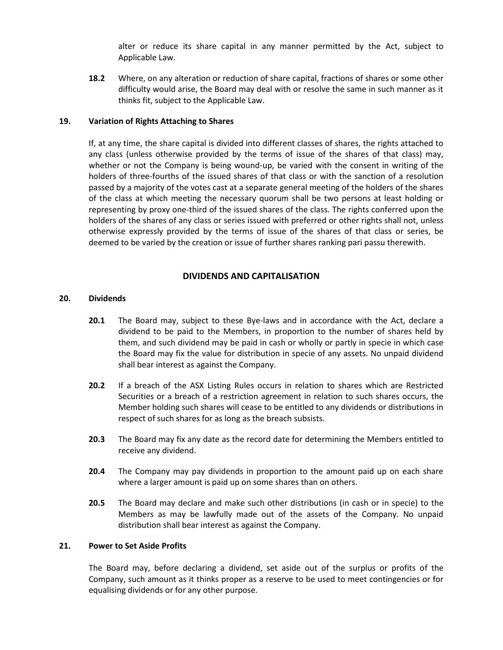alter or reduce its share capital in any manner permitted by the Act, subject to Applicable Law.

**18.2** Where, on any alteration or reduction of share capital, fractions of shares or some other difficulty would arise, the Board may deal with or resolve the same in such manner as it thinks fit, subject to the Applicable Law.

#### **19. Variation of Rights Attaching to Shares**

If, at any time, the share capital is divided into different classes of shares, the rights attached to any class (unless otherwise provided by the terms of issue of the shares of that class) may, whether or not the Company is being wound-up, be varied with the consent in writing of the holders of three-fourths of the issued shares of that class or with the sanction of a resolution passed by a majority of the votes cast at a separate general meeting of the holders of the shares of the class at which meeting the necessary quorum shall be two persons at least holding or representing by proxy one-third of the issued shares of the class. The rights conferred upon the holders of the shares of any class or series issued with preferred or other rights shall not, unless otherwise expressly provided by the terms of issue of the shares of that class or series, be deemed to be varied by the creation or issue of further shares ranking pari passu therewith.

#### **DIVIDENDS AND CAPITALISATION**

#### **20. Dividends**

- **20.1** The Board may, subject to these Bye-laws and in accordance with the Act, declare a dividend to be paid to the Members, in proportion to the number of shares held by them, and such dividend may be paid in cash or wholly or partly in specie in which case the Board may fix the value for distribution in specie of any assets. No unpaid dividend shall bear interest as against the Company.
- **20.2** If a breach of the ASX Listing Rules occurs in relation to shares which are Restricted Securities or a breach of a restriction agreement in relation to such shares occurs, the Member holding such shares will cease to be entitled to any dividends or distributions in respect of such shares for as long as the breach subsists.
- **20.3** The Board may fix any date as the record date for determining the Members entitled to receive any dividend.
- **20.4** The Company may pay dividends in proportion to the amount paid up on each share where a larger amount is paid up on some shares than on others.
- **20.5** The Board may declare and make such other distributions (in cash or in specie) to the Members as may be lawfully made out of the assets of the Company. No unpaid distribution shall bear interest as against the Company.

#### **21. Power to Set Aside Profits**

The Board may, before declaring a dividend, set aside out of the surplus or profits of the Company, such amount as it thinks proper as a reserve to be used to meet contingencies or for equalising dividends or for any other purpose.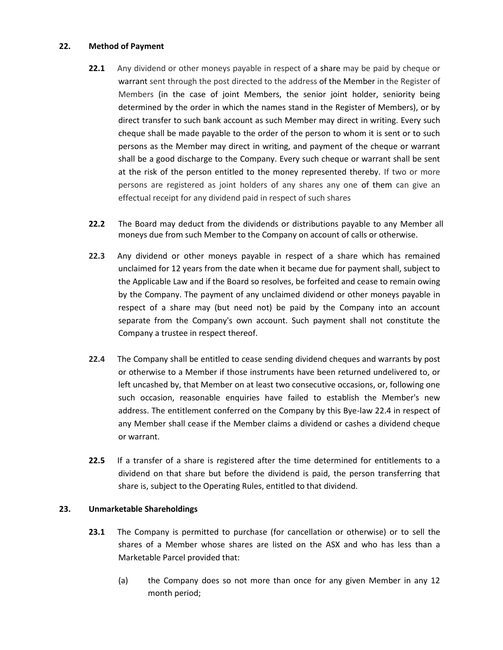#### **22. Method of Payment**

- **22.1** Any dividend or other moneys payable in respect of a share may be paid by cheque or warrant sent through the post directed to the address of the Member in the Register of Members (in the case of joint Members, the senior joint holder, seniority being determined by the order in which the names stand in the Register of Members), or by direct transfer to such bank account as such Member may direct in writing. Every such cheque shall be made payable to the order of the person to whom it is sent or to such persons as the Member may direct in writing, and payment of the cheque or warrant shall be a good discharge to the Company. Every such cheque or warrant shall be sent at the risk of the person entitled to the money represented thereby. If two or more persons are registered as joint holders of any shares any one of them can give an effectual receipt for any dividend paid in respect of such shares
- **22.2** The Board may deduct from the dividends or distributions payable to any Member all moneys due from such Member to the Company on account of calls or otherwise.
- **22.3** Any dividend or other moneys payable in respect of a share which has remained unclaimed for 12 years from the date when it became due for payment shall, subject to the Applicable Law and if the Board so resolves, be forfeited and cease to remain owing by the Company. The payment of any unclaimed dividend or other moneys payable in respect of a share may (but need not) be paid by the Company into an account separate from the Company's own account. Such payment shall not constitute the Company a trustee in respect thereof.
- <span id="page-17-0"></span>**22.4** The Company shall be entitled to cease sending dividend cheques and warrants by post or otherwise to a Member if those instruments have been returned undelivered to, or left uncashed by, that Member on at least two consecutive occasions, or, following one such occasion, reasonable enquiries have failed to establish the Member's new address. The entitlement conferred on the Company by this Bye-law [22.4](#page-17-0) in respect of any Member shall cease if the Member claims a dividend or cashes a dividend cheque or warrant.
- **22.5** If a transfer of a share is registered after the time determined for entitlements to a dividend on that share but before the dividend is paid, the person transferring that share is, subject to the Operating Rules, entitled to that dividend.

## <span id="page-17-1"></span>**23. Unmarketable Shareholdings**

- **23.1** The Company is permitted to purchase (for cancellation or otherwise) or to sell the shares of a Member whose shares are listed on the ASX and who has less than a Marketable Parcel provided that:
	- (a) the Company does so not more than once for any given Member in any 12 month period;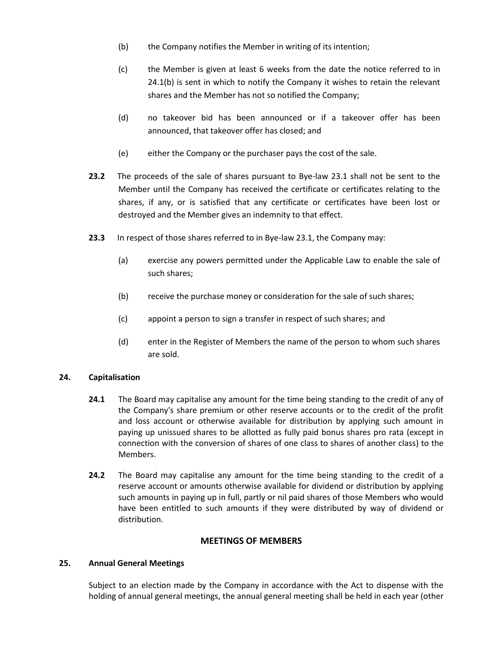- (b) the Company notifies the Member in writing of its intention;
- (c) the Member is given at least 6 weeks from the date the notice referred to in 24.1(b) is sent in which to notify the Company it wishes to retain the relevant shares and the Member has not so notified the Company;
- (d) no takeover bid has been announced or if a takeover offer has been announced, that takeover offer has closed; and
- (e) either the Company or the purchaser pays the cost of the sale.
- **23.2** The proceeds of the sale of shares pursuant to Bye-law [23.1](#page-17-1) shall not be sent to the Member until the Company has received the certificate or certificates relating to the shares, if any, or is satisfied that any certificate or certificates have been lost or destroyed and the Member gives an indemnity to that effect.
- **23.3** In respect of those shares referred to in Bye-la[w 23.1,](#page-17-1) the Company may:
	- (a) exercise any powers permitted under the Applicable Law to enable the sale of such shares;
	- (b) receive the purchase money or consideration for the sale of such shares;
	- (c) appoint a person to sign a transfer in respect of such shares; and
	- (d) enter in the Register of Members the name of the person to whom such shares are sold.

## **24. Capitalisation**

- **24.1** The Board may capitalise any amount for the time being standing to the credit of any of the Company's share premium or other reserve accounts or to the credit of the profit and loss account or otherwise available for distribution by applying such amount in paying up unissued shares to be allotted as fully paid bonus shares pro rata (except in connection with the conversion of shares of one class to shares of another class) to the Members.
- **24.2** The Board may capitalise any amount for the time being standing to the credit of a reserve account or amounts otherwise available for dividend or distribution by applying such amounts in paying up in full, partly or nil paid shares of those Members who would have been entitled to such amounts if they were distributed by way of dividend or distribution.

## **MEETINGS OF MEMBERS**

## **25. Annual General Meetings**

Subject to an election made by the Company in accordance with the Act to dispense with the holding of annual general meetings, the annual general meeting shall be held in each year (other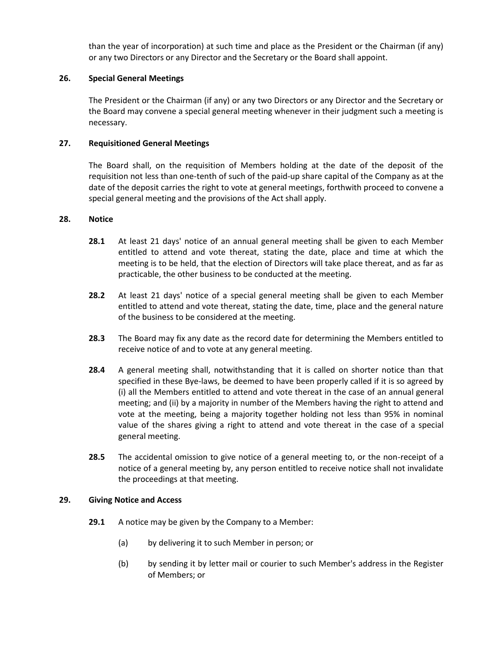than the year of incorporation) at such time and place as the President or the Chairman (if any) or any two Directors or any Director and the Secretary or the Board shall appoint.

## **26. Special General Meetings**

The President or the Chairman (if any) or any two Directors or any Director and the Secretary or the Board may convene a special general meeting whenever in their judgment such a meeting is necessary.

# **27. Requisitioned General Meetings**

The Board shall, on the requisition of Members holding at the date of the deposit of the requisition not less than one-tenth of such of the paid-up share capital of the Company as at the date of the deposit carries the right to vote at general meetings, forthwith proceed to convene a special general meeting and the provisions of the Act shall apply.

## **28. Notice**

- **28.1** At least 21 days' notice of an annual general meeting shall be given to each Member entitled to attend and vote thereat, stating the date, place and time at which the meeting is to be held, that the election of Directors will take place thereat, and as far as practicable, the other business to be conducted at the meeting.
- **28.2** At least 21 days' notice of a special general meeting shall be given to each Member entitled to attend and vote thereat, stating the date, time, place and the general nature of the business to be considered at the meeting.
- **28.3** The Board may fix any date as the record date for determining the Members entitled to receive notice of and to vote at any general meeting.
- **28.4** A general meeting shall, notwithstanding that it is called on shorter notice than that specified in these Bye-laws, be deemed to have been properly called if it is so agreed by (i) all the Members entitled to attend and vote thereat in the case of an annual general meeting; and (ii) by a majority in number of the Members having the right to attend and vote at the meeting, being a majority together holding not less than 95% in nominal value of the shares giving a right to attend and vote thereat in the case of a special general meeting.
- **28.5** The accidental omission to give notice of a general meeting to, or the non-receipt of a notice of a general meeting by, any person entitled to receive notice shall not invalidate the proceedings at that meeting.

## **29. Giving Notice and Access**

- **29.1** A notice may be given by the Company to a Member:
	- (a) by delivering it to such Member in person; or
	- (b) by sending it by letter mail or courier to such Member's address in the Register of Members; or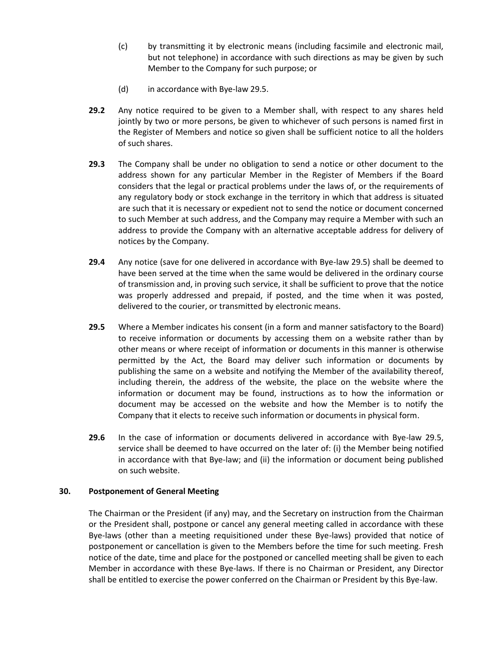- (c) by transmitting it by electronic means (including facsimile and electronic mail, but not telephone) in accordance with such directions as may be given by such Member to the Company for such purpose; or
- (d) in accordance with Bye-la[w 29.5.](#page-20-0)
- **29.2** Any notice required to be given to a Member shall, with respect to any shares held jointly by two or more persons, be given to whichever of such persons is named first in the Register of Members and notice so given shall be sufficient notice to all the holders of such shares.
- **29.3** The Company shall be under no obligation to send a notice or other document to the address shown for any particular Member in the Register of Members if the Board considers that the legal or practical problems under the laws of, or the requirements of any regulatory body or stock exchange in the territory in which that address is situated are such that it is necessary or expedient not to send the notice or document concerned to such Member at such address, and the Company may require a Member with such an address to provide the Company with an alternative acceptable address for delivery of notices by the Company.
- **29.4** Any notice (save for one delivered in accordance with Bye-law [29.5\)](#page-20-0) shall be deemed to have been served at the time when the same would be delivered in the ordinary course of transmission and, in proving such service, it shall be sufficient to prove that the notice was properly addressed and prepaid, if posted, and the time when it was posted, delivered to the courier, or transmitted by electronic means.
- <span id="page-20-0"></span>**29.5** Where a Member indicates his consent (in a form and manner satisfactory to the Board) to receive information or documents by accessing them on a website rather than by other means or where receipt of information or documents in this manner is otherwise permitted by the Act, the Board may deliver such information or documents by publishing the same on a website and notifying the Member of the availability thereof, including therein, the address of the website, the place on the website where the information or document may be found, instructions as to how the information or document may be accessed on the website and how the Member is to notify the Company that it elects to receive such information or documents in physical form.
- **29.6** In the case of information or documents delivered in accordance with Bye-law [29.5,](#page-20-0) service shall be deemed to have occurred on the later of: (i) the Member being notified in accordance with that Bye-law; and (ii) the information or document being published on such website.

#### **30. Postponement of General Meeting**

The Chairman or the President (if any) may, and the Secretary on instruction from the Chairman or the President shall, postpone or cancel any general meeting called in accordance with these Bye-laws (other than a meeting requisitioned under these Bye-laws) provided that notice of postponement or cancellation is given to the Members before the time for such meeting. Fresh notice of the date, time and place for the postponed or cancelled meeting shall be given to each Member in accordance with these Bye-laws. If there is no Chairman or President, any Director shall be entitled to exercise the power conferred on the Chairman or President by this Bye-law.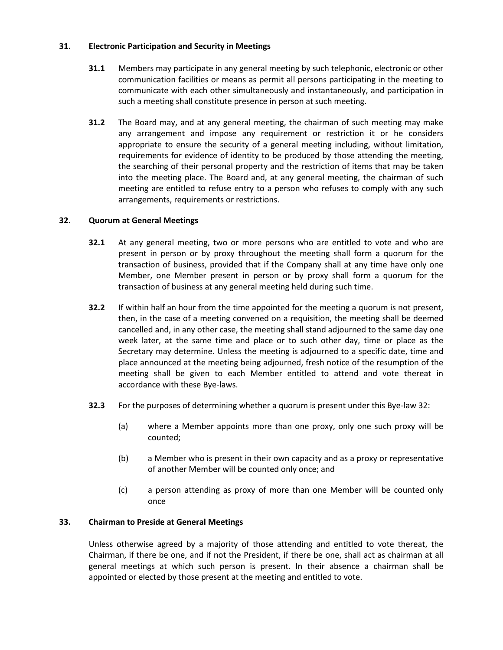## **31. Electronic Participation and Security in Meetings**

- **31.1** Members may participate in any general meeting by such telephonic, electronic or other communication facilities or means as permit all persons participating in the meeting to communicate with each other simultaneously and instantaneously, and participation in such a meeting shall constitute presence in person at such meeting.
- **31.2** The Board may, and at any general meeting, the chairman of such meeting may make any arrangement and impose any requirement or restriction it or he considers appropriate to ensure the security of a general meeting including, without limitation, requirements for evidence of identity to be produced by those attending the meeting, the searching of their personal property and the restriction of items that may be taken into the meeting place. The Board and, at any general meeting, the chairman of such meeting are entitled to refuse entry to a person who refuses to comply with any such arrangements, requirements or restrictions.

# <span id="page-21-0"></span>**32. Quorum at General Meetings**

- **32.1** At any general meeting, two or more persons who are entitled to vote and who are present in person or by proxy throughout the meeting shall form a quorum for the transaction of business, provided that if the Company shall at any time have only one Member, one Member present in person or by proxy shall form a quorum for the transaction of business at any general meeting held during such time.
- **32.2** If within half an hour from the time appointed for the meeting a quorum is not present, then, in the case of a meeting convened on a requisition, the meeting shall be deemed cancelled and, in any other case, the meeting shall stand adjourned to the same day one week later, at the same time and place or to such other day, time or place as the Secretary may determine. Unless the meeting is adjourned to a specific date, time and place announced at the meeting being adjourned, fresh notice of the resumption of the meeting shall be given to each Member entitled to attend and vote thereat in accordance with these Bye-laws.
- **32.3** For the purposes of determining whether a quorum is present under this Bye-la[w 32:](#page-21-0)
	- (a) where a Member appoints more than one proxy, only one such proxy will be counted;
	- (b) a Member who is present in their own capacity and as a proxy or representative of another Member will be counted only once; and
	- (c) a person attending as proxy of more than one Member will be counted only once

# **33. Chairman to Preside at General Meetings**

Unless otherwise agreed by a majority of those attending and entitled to vote thereat, the Chairman, if there be one, and if not the President, if there be one, shall act as chairman at all general meetings at which such person is present. In their absence a chairman shall be appointed or elected by those present at the meeting and entitled to vote.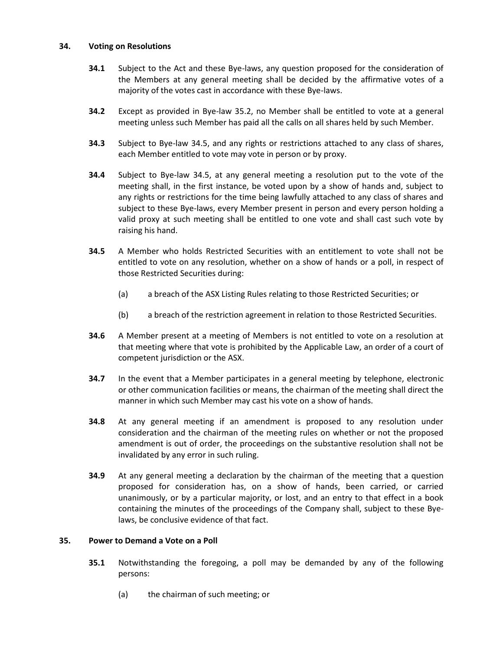#### **34. Voting on Resolutions**

- **34.1** Subject to the Act and these Bye-laws, any question proposed for the consideration of the Members at any general meeting shall be decided by the affirmative votes of a majority of the votes cast in accordance with these Bye-laws.
- <span id="page-22-2"></span>**34.2** Except as provided in Bye-law [35.2,](#page-23-0) no Member shall be entitled to vote at a general meeting unless such Member has paid all the calls on all shares held by such Member.
- **34.3** Subject to Bye-law [34.5,](#page-22-0) and any rights or restrictions attached to any class of shares, each Member entitled to vote may vote in person or by proxy.
- **34.4** Subject to Bye-law [34.5,](#page-22-0) at any general meeting a resolution put to the vote of the meeting shall, in the first instance, be voted upon by a show of hands and, subject to any rights or restrictions for the time being lawfully attached to any class of shares and subject to these Bye-laws, every Member present in person and every person holding a valid proxy at such meeting shall be entitled to one vote and shall cast such vote by raising his hand.
- <span id="page-22-0"></span>**34.5** A Member who holds Restricted Securities with an entitlement to vote shall not be entitled to vote on any resolution, whether on a show of hands or a poll, in respect of those Restricted Securities during:
	- (a) a breach of the ASX Listing Rules relating to those Restricted Securities; or
	- (b) a breach of the restriction agreement in relation to those Restricted Securities.
- **34.6** A Member present at a meeting of Members is not entitled to vote on a resolution at that meeting where that vote is prohibited by the Applicable Law, an order of a court of competent jurisdiction or the ASX.
- **34.7** In the event that a Member participates in a general meeting by telephone, electronic or other communication facilities or means, the chairman of the meeting shall direct the manner in which such Member may cast his vote on a show of hands.
- **34.8** At any general meeting if an amendment is proposed to any resolution under consideration and the chairman of the meeting rules on whether or not the proposed amendment is out of order, the proceedings on the substantive resolution shall not be invalidated by any error in such ruling.
- **34.9** At any general meeting a declaration by the chairman of the meeting that a question proposed for consideration has, on a show of hands, been carried, or carried unanimously, or by a particular majority, or lost, and an entry to that effect in a book containing the minutes of the proceedings of the Company shall, subject to these Byelaws, be conclusive evidence of that fact.

## <span id="page-22-1"></span>**35. Power to Demand a Vote on a Poll**

- **35.1** Notwithstanding the foregoing, a poll may be demanded by any of the following persons:
	- (a) the chairman of such meeting; or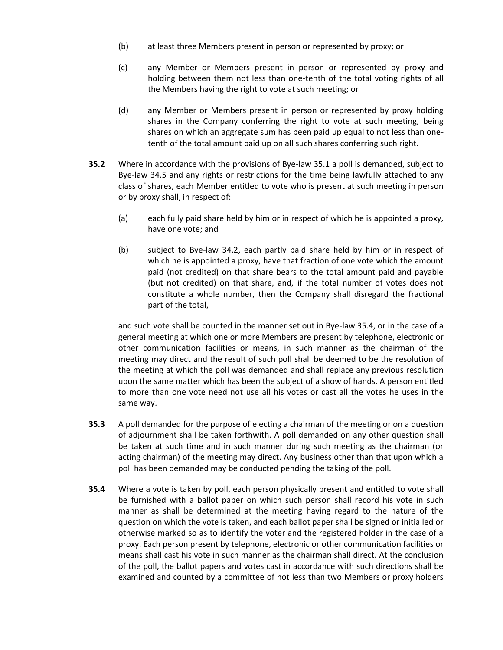- (b) at least three Members present in person or represented by proxy; or
- (c) any Member or Members present in person or represented by proxy and holding between them not less than one-tenth of the total voting rights of all the Members having the right to vote at such meeting; or
- (d) any Member or Members present in person or represented by proxy holding shares in the Company conferring the right to vote at such meeting, being shares on which an aggregate sum has been paid up equal to not less than onetenth of the total amount paid up on all such shares conferring such right.
- <span id="page-23-0"></span>**35.2** Where in accordance with the provisions of Bye-law [35.1](#page-22-1) a poll is demanded, subject to Bye-law [34.5](#page-22-0) and any rights or restrictions for the time being lawfully attached to any class of shares, each Member entitled to vote who is present at such meeting in person or by proxy shall, in respect of:
	- (a) each fully paid share held by him or in respect of which he is appointed a proxy, have one vote; and
	- (b) subject to Bye-law [34.2,](#page-22-2) each partly paid share held by him or in respect of which he is appointed a proxy, have that fraction of one vote which the amount paid (not credited) on that share bears to the total amount paid and payable (but not credited) on that share, and, if the total number of votes does not constitute a whole number, then the Company shall disregard the fractional part of the total,

and such vote shall be counted in the manner set out in Bye-law [35.4,](#page-23-1) or in the case of a general meeting at which one or more Members are present by telephone, electronic or other communication facilities or means, in such manner as the chairman of the meeting may direct and the result of such poll shall be deemed to be the resolution of the meeting at which the poll was demanded and shall replace any previous resolution upon the same matter which has been the subject of a show of hands. A person entitled to more than one vote need not use all his votes or cast all the votes he uses in the same way.

- **35.3** A poll demanded for the purpose of electing a chairman of the meeting or on a question of adjournment shall be taken forthwith. A poll demanded on any other question shall be taken at such time and in such manner during such meeting as the chairman (or acting chairman) of the meeting may direct. Any business other than that upon which a poll has been demanded may be conducted pending the taking of the poll.
- <span id="page-23-1"></span>**35.4** Where a vote is taken by poll, each person physically present and entitled to vote shall be furnished with a ballot paper on which such person shall record his vote in such manner as shall be determined at the meeting having regard to the nature of the question on which the vote is taken, and each ballot paper shall be signed or initialled or otherwise marked so as to identify the voter and the registered holder in the case of a proxy. Each person present by telephone, electronic or other communication facilities or means shall cast his vote in such manner as the chairman shall direct. At the conclusion of the poll, the ballot papers and votes cast in accordance with such directions shall be examined and counted by a committee of not less than two Members or proxy holders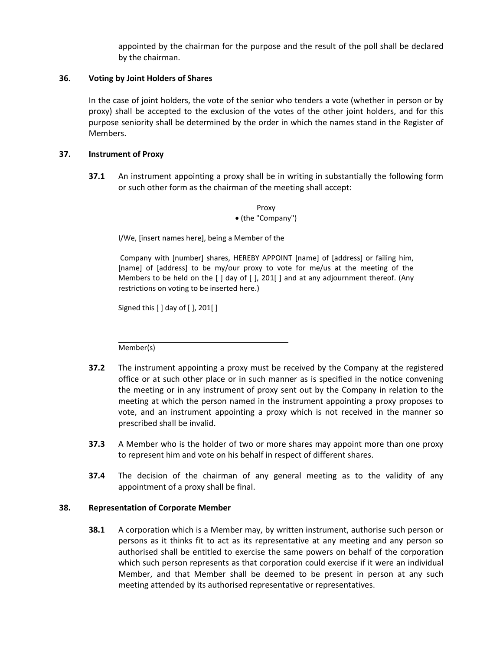appointed by the chairman for the purpose and the result of the poll shall be declared by the chairman.

#### **36. Voting by Joint Holders of Shares**

In the case of joint holders, the vote of the senior who tenders a vote (whether in person or by proxy) shall be accepted to the exclusion of the votes of the other joint holders, and for this purpose seniority shall be determined by the order in which the names stand in the Register of Members.

#### **37. Instrument of Proxy**

**37.1** An instrument appointing a proxy shall be in writing in substantially the following form or such other form as the chairman of the meeting shall accept:

> Proxy (the "Company")

I/We, [insert names here], being a Member of the

Company with [number] shares, HEREBY APPOINT [name] of [address] or failing him, [name] of [address] to be my/our proxy to vote for me/us at the meeting of the Members to be held on the [ ] day of [ ], 201[ ] and at any adjournment thereof. (Any restrictions on voting to be inserted here.)

Signed this [ ] day of [ ], 201[ ]

Member(s)

- **37.2** The instrument appointing a proxy must be received by the Company at the registered office or at such other place or in such manner as is specified in the notice convening the meeting or in any instrument of proxy sent out by the Company in relation to the meeting at which the person named in the instrument appointing a proxy proposes to vote, and an instrument appointing a proxy which is not received in the manner so prescribed shall be invalid.
- **37.3** A Member who is the holder of two or more shares may appoint more than one proxy to represent him and vote on his behalf in respect of different shares.
- **37.4** The decision of the chairman of any general meeting as to the validity of any appointment of a proxy shall be final.

#### **38. Representation of Corporate Member**

**38.1** A corporation which is a Member may, by written instrument, authorise such person or persons as it thinks fit to act as its representative at any meeting and any person so authorised shall be entitled to exercise the same powers on behalf of the corporation which such person represents as that corporation could exercise if it were an individual Member, and that Member shall be deemed to be present in person at any such meeting attended by its authorised representative or representatives.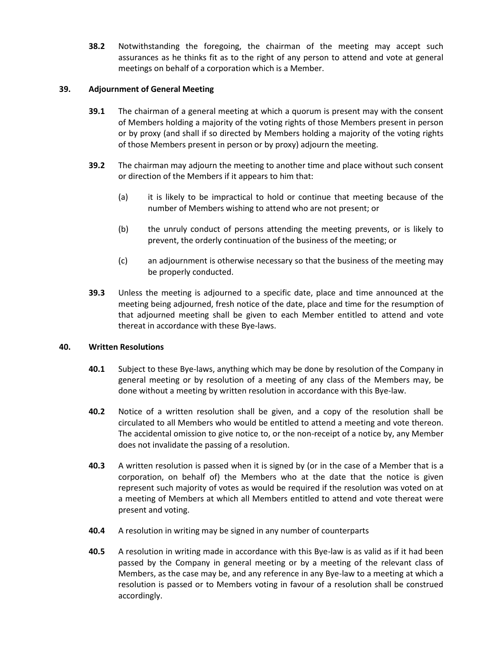**38.2** Notwithstanding the foregoing, the chairman of the meeting may accept such assurances as he thinks fit as to the right of any person to attend and vote at general meetings on behalf of a corporation which is a Member.

#### **39. Adjournment of General Meeting**

- **39.1** The chairman of a general meeting at which a quorum is present may with the consent of Members holding a majority of the voting rights of those Members present in person or by proxy (and shall if so directed by Members holding a majority of the voting rights of those Members present in person or by proxy) adjourn the meeting.
- **39.2** The chairman may adjourn the meeting to another time and place without such consent or direction of the Members if it appears to him that:
	- (a) it is likely to be impractical to hold or continue that meeting because of the number of Members wishing to attend who are not present; or
	- (b) the unruly conduct of persons attending the meeting prevents, or is likely to prevent, the orderly continuation of the business of the meeting; or
	- (c) an adjournment is otherwise necessary so that the business of the meeting may be properly conducted.
- **39.3** Unless the meeting is adjourned to a specific date, place and time announced at the meeting being adjourned, fresh notice of the date, place and time for the resumption of that adjourned meeting shall be given to each Member entitled to attend and vote thereat in accordance with these Bye-laws.

#### **40. Written Resolutions**

- **40.1** Subject to these Bye-laws, anything which may be done by resolution of the Company in general meeting or by resolution of a meeting of any class of the Members may, be done without a meeting by written resolution in accordance with this Bye-law.
- **40.2** Notice of a written resolution shall be given, and a copy of the resolution shall be circulated to all Members who would be entitled to attend a meeting and vote thereon. The accidental omission to give notice to, or the non-receipt of a notice by, any Member does not invalidate the passing of a resolution.
- **40.3** A written resolution is passed when it is signed by (or in the case of a Member that is a corporation, on behalf of) the Members who at the date that the notice is given represent such majority of votes as would be required if the resolution was voted on at a meeting of Members at which all Members entitled to attend and vote thereat were present and voting.
- **40.4** A resolution in writing may be signed in any number of counterparts
- **40.5** A resolution in writing made in accordance with this Bye-law is as valid as if it had been passed by the Company in general meeting or by a meeting of the relevant class of Members, as the case may be, and any reference in any Bye-law to a meeting at which a resolution is passed or to Members voting in favour of a resolution shall be construed accordingly.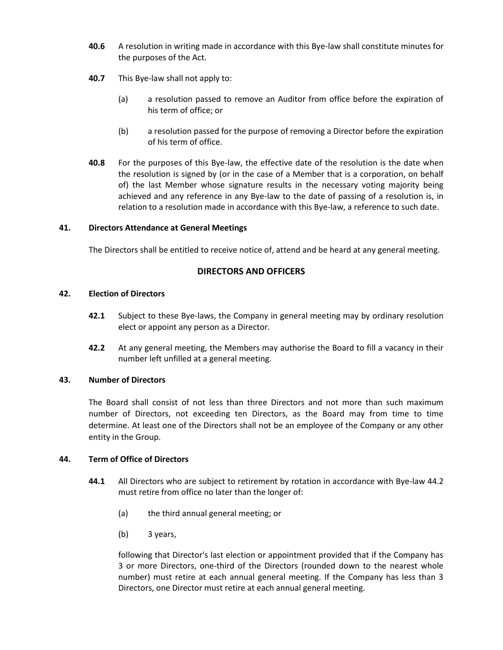- **40.6** A resolution in writing made in accordance with this Bye-law shall constitute minutes for the purposes of the Act.
- **40.7** This Bye-law shall not apply to:
	- (a) a resolution passed to remove an Auditor from office before the expiration of his term of office; or
	- (b) a resolution passed for the purpose of removing a Director before the expiration of his term of office.
- **40.8** For the purposes of this Bye-law, the effective date of the resolution is the date when the resolution is signed by (or in the case of a Member that is a corporation, on behalf of) the last Member whose signature results in the necessary voting majority being achieved and any reference in any Bye-law to the date of passing of a resolution is, in relation to a resolution made in accordance with this Bye-law, a reference to such date.

## **41. Directors Attendance at General Meetings**

The Directors shall be entitled to receive notice of, attend and be heard at any general meeting.

# **DIRECTORS AND OFFICERS**

## **42. Election of Directors**

- **42.1** Subject to these Bye-laws, the Company in general meeting may by ordinary resolution elect or appoint any person as a Director.
- **42.2** At any general meeting, the Members may authorise the Board to fill a vacancy in their number left unfilled at a general meeting.

#### **43. Number of Directors**

The Board shall consist of not less than three Directors and not more than such maximum number of Directors, not exceeding ten Directors, as the Board may from time to time determine. At least one of the Directors shall not be an employee of the Company or any other entity in the Group.

## <span id="page-26-0"></span>**44. Term of Office of Directors**

- **44.1** All Directors who are subject to retirement by rotation in accordance with Bye-law [44.2](#page-27-0) must retire from office no later than the longer of:
	- (a) the third annual general meeting; or
	- (b) 3 years,

following that Director's last election or appointment provided that if the Company has 3 or more Directors, one-third of the Directors (rounded down to the nearest whole number) must retire at each annual general meeting. If the Company has less than 3 Directors, one Director must retire at each annual general meeting.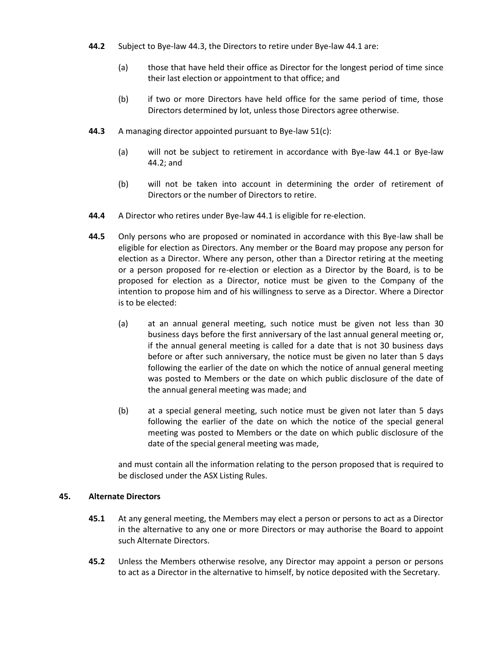- <span id="page-27-0"></span>**44.2** Subject to Bye-la[w 44.3,](#page-27-1) the Directors to retire under Bye-la[w 44.1](#page-26-0) are:
	- (a) those that have held their office as Director for the longest period of time since their last election or appointment to that office; and
	- (b) if two or more Directors have held office for the same period of time, those Directors determined by lot, unless those Directors agree otherwise.
- <span id="page-27-1"></span>**44.3** A managing director appointed pursuant to Bye-law [51\(c\):](#page-30-0)
	- (a) will not be subject to retirement in accordance with Bye-law [44.1](#page-26-0) or Bye-law [44.2;](#page-27-0) and
	- (b) will not be taken into account in determining the order of retirement of Directors or the number of Directors to retire.
- **44.4** A Director who retires under Bye-la[w 44.1](#page-26-0) is eligible for re-election.
- **44.5** Only persons who are proposed or nominated in accordance with this Bye-law shall be eligible for election as Directors. Any member or the Board may propose any person for election as a Director. Where any person, other than a Director retiring at the meeting or a person proposed for re-election or election as a Director by the Board, is to be proposed for election as a Director, notice must be given to the Company of the intention to propose him and of his willingness to serve as a Director. Where a Director is to be elected:
	- (a) at an annual general meeting, such notice must be given not less than 30 business days before the first anniversary of the last annual general meeting or, if the annual general meeting is called for a date that is not 30 business days before or after such anniversary, the notice must be given no later than 5 days following the earlier of the date on which the notice of annual general meeting was posted to Members or the date on which public disclosure of the date of the annual general meeting was made; and
	- (b) at a special general meeting, such notice must be given not later than 5 days following the earlier of the date on which the notice of the special general meeting was posted to Members or the date on which public disclosure of the date of the special general meeting was made,

and must contain all the information relating to the person proposed that is required to be disclosed under the ASX Listing Rules.

#### **45. Alternate Directors**

- **45.1** At any general meeting, the Members may elect a person or persons to act as a Director in the alternative to any one or more Directors or may authorise the Board to appoint such Alternate Directors.
- **45.2** Unless the Members otherwise resolve, any Director may appoint a person or persons to act as a Director in the alternative to himself, by notice deposited with the Secretary.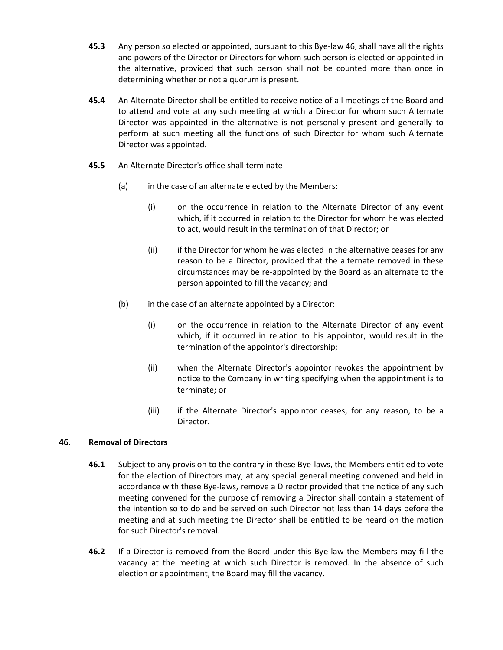- **45.3** Any person so elected or appointed, pursuant to this Bye-law 46, shall have all the rights and powers of the Director or Directors for whom such person is elected or appointed in the alternative, provided that such person shall not be counted more than once in determining whether or not a quorum is present.
- **45.4** An Alternate Director shall be entitled to receive notice of all meetings of the Board and to attend and vote at any such meeting at which a Director for whom such Alternate Director was appointed in the alternative is not personally present and generally to perform at such meeting all the functions of such Director for whom such Alternate Director was appointed.
- **45.5** An Alternate Director's office shall terminate
	- (a) in the case of an alternate elected by the Members:
		- (i) on the occurrence in relation to the Alternate Director of any event which, if it occurred in relation to the Director for whom he was elected to act, would result in the termination of that Director; or
		- (ii) if the Director for whom he was elected in the alternative ceases for any reason to be a Director, provided that the alternate removed in these circumstances may be re-appointed by the Board as an alternate to the person appointed to fill the vacancy; and
	- (b) in the case of an alternate appointed by a Director:
		- (i) on the occurrence in relation to the Alternate Director of any event which, if it occurred in relation to his appointor, would result in the termination of the appointor's directorship;
		- (ii) when the Alternate Director's appointor revokes the appointment by notice to the Company in writing specifying when the appointment is to terminate; or
		- (iii) if the Alternate Director's appointor ceases, for any reason, to be a Director.

## **46. Removal of Directors**

- **46.1** Subject to any provision to the contrary in these Bye-laws, the Members entitled to vote for the election of Directors may, at any special general meeting convened and held in accordance with these Bye-laws, remove a Director provided that the notice of any such meeting convened for the purpose of removing a Director shall contain a statement of the intention so to do and be served on such Director not less than 14 days before the meeting and at such meeting the Director shall be entitled to be heard on the motion for such Director's removal.
- **46.2** If a Director is removed from the Board under this Bye-law the Members may fill the vacancy at the meeting at which such Director is removed. In the absence of such election or appointment, the Board may fill the vacancy.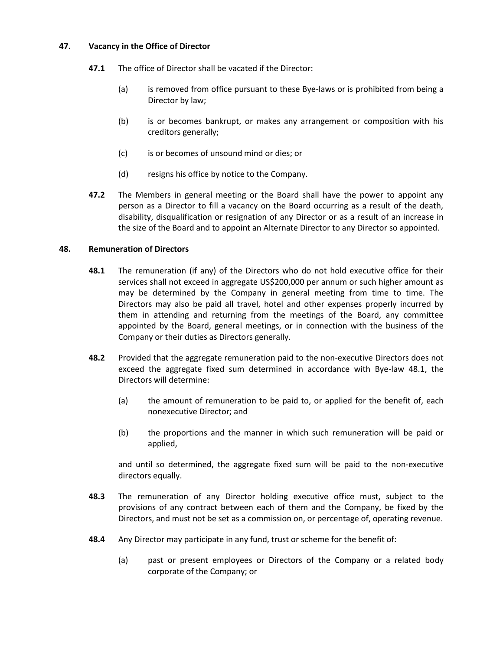#### **47. Vacancy in the Office of Director**

- **47.1** The office of Director shall be vacated if the Director:
	- (a) is removed from office pursuant to these Bye-laws or is prohibited from being a Director by law;
	- (b) is or becomes bankrupt, or makes any arrangement or composition with his creditors generally;
	- (c) is or becomes of unsound mind or dies; or
	- (d) resigns his office by notice to the Company.
- **47.2** The Members in general meeting or the Board shall have the power to appoint any person as a Director to fill a vacancy on the Board occurring as a result of the death, disability, disqualification or resignation of any Director or as a result of an increase in the size of the Board and to appoint an Alternate Director to any Director so appointed.

#### <span id="page-29-0"></span>**48. Remuneration of Directors**

- **48.1** The remuneration (if any) of the Directors who do not hold executive office for their services shall not exceed in aggregate US\$200,000 per annum or such higher amount as may be determined by the Company in general meeting from time to time. The Directors may also be paid all travel, hotel and other expenses properly incurred by them in attending and returning from the meetings of the Board, any committee appointed by the Board, general meetings, or in connection with the business of the Company or their duties as Directors generally.
- **48.2** Provided that the aggregate remuneration paid to the non-executive Directors does not exceed the aggregate fixed sum determined in accordance with Bye-law [48.1,](#page-29-0) the Directors will determine:
	- (a) the amount of remuneration to be paid to, or applied for the benefit of, each nonexecutive Director; and
	- (b) the proportions and the manner in which such remuneration will be paid or applied,

and until so determined, the aggregate fixed sum will be paid to the non-executive directors equally.

- **48.3** The remuneration of any Director holding executive office must, subject to the provisions of any contract between each of them and the Company, be fixed by the Directors, and must not be set as a commission on, or percentage of, operating revenue.
- **48.4** Any Director may participate in any fund, trust or scheme for the benefit of:
	- (a) past or present employees or Directors of the Company or a related body corporate of the Company; or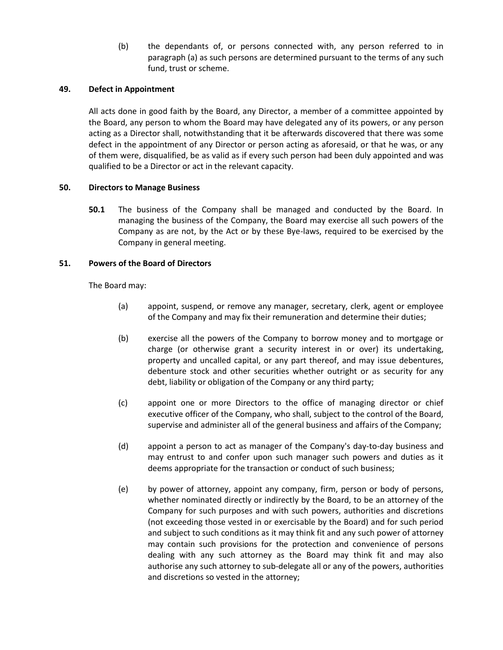(b) the dependants of, or persons connected with, any person referred to in paragraph (a) as such persons are determined pursuant to the terms of any such fund, trust or scheme.

#### **49. Defect in Appointment**

All acts done in good faith by the Board, any Director, a member of a committee appointed by the Board, any person to whom the Board may have delegated any of its powers, or any person acting as a Director shall, notwithstanding that it be afterwards discovered that there was some defect in the appointment of any Director or person acting as aforesaid, or that he was, or any of them were, disqualified, be as valid as if every such person had been duly appointed and was qualified to be a Director or act in the relevant capacity.

#### **50. Directors to Manage Business**

**50.1** The business of the Company shall be managed and conducted by the Board. In managing the business of the Company, the Board may exercise all such powers of the Company as are not, by the Act or by these Bye-laws, required to be exercised by the Company in general meeting.

#### **51. Powers of the Board of Directors**

The Board may:

- (a) appoint, suspend, or remove any manager, secretary, clerk, agent or employee of the Company and may fix their remuneration and determine their duties;
- (b) exercise all the powers of the Company to borrow money and to mortgage or charge (or otherwise grant a security interest in or over) its undertaking, property and uncalled capital, or any part thereof, and may issue debentures, debenture stock and other securities whether outright or as security for any debt, liability or obligation of the Company or any third party;
- <span id="page-30-0"></span>(c) appoint one or more Directors to the office of managing director or chief executive officer of the Company, who shall, subject to the control of the Board, supervise and administer all of the general business and affairs of the Company;
- (d) appoint a person to act as manager of the Company's day-to-day business and may entrust to and confer upon such manager such powers and duties as it deems appropriate for the transaction or conduct of such business;
- (e) by power of attorney, appoint any company, firm, person or body of persons, whether nominated directly or indirectly by the Board, to be an attorney of the Company for such purposes and with such powers, authorities and discretions (not exceeding those vested in or exercisable by the Board) and for such period and subject to such conditions as it may think fit and any such power of attorney may contain such provisions for the protection and convenience of persons dealing with any such attorney as the Board may think fit and may also authorise any such attorney to sub-delegate all or any of the powers, authorities and discretions so vested in the attorney;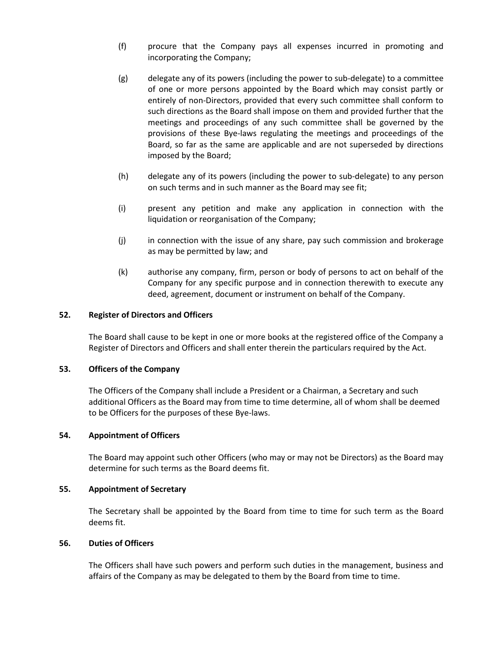- (f) procure that the Company pays all expenses incurred in promoting and incorporating the Company;
- (g) delegate any of its powers (including the power to sub-delegate) to a committee of one or more persons appointed by the Board which may consist partly or entirely of non-Directors, provided that every such committee shall conform to such directions as the Board shall impose on them and provided further that the meetings and proceedings of any such committee shall be governed by the provisions of these Bye-laws regulating the meetings and proceedings of the Board, so far as the same are applicable and are not superseded by directions imposed by the Board;
- (h) delegate any of its powers (including the power to sub-delegate) to any person on such terms and in such manner as the Board may see fit;
- (i) present any petition and make any application in connection with the liquidation or reorganisation of the Company;
- (j) in connection with the issue of any share, pay such commission and brokerage as may be permitted by law; and
- (k) authorise any company, firm, person or body of persons to act on behalf of the Company for any specific purpose and in connection therewith to execute any deed, agreement, document or instrument on behalf of the Company.

#### **52. Register of Directors and Officers**

The Board shall cause to be kept in one or more books at the registered office of the Company a Register of Directors and Officers and shall enter therein the particulars required by the Act.

#### **53. Officers of the Company**

The Officers of the Company shall include a President or a Chairman, a Secretary and such additional Officers as the Board may from time to time determine, all of whom shall be deemed to be Officers for the purposes of these Bye-laws.

#### **54. Appointment of Officers**

The Board may appoint such other Officers (who may or may not be Directors) as the Board may determine for such terms as the Board deems fit.

#### **55. Appointment of Secretary**

The Secretary shall be appointed by the Board from time to time for such term as the Board deems fit.

## **56. Duties of Officers**

The Officers shall have such powers and perform such duties in the management, business and affairs of the Company as may be delegated to them by the Board from time to time.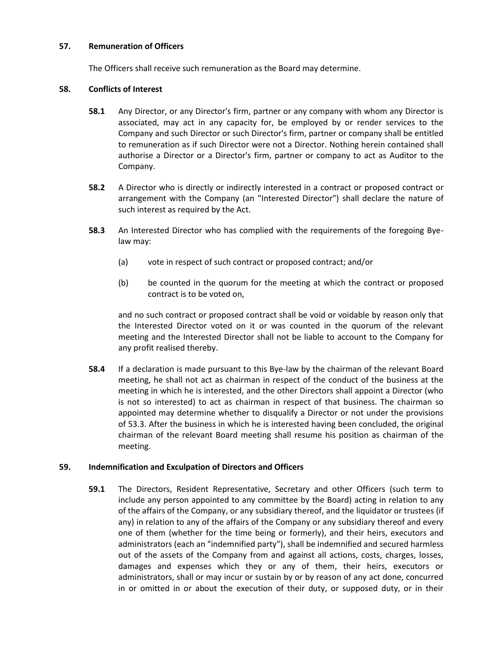#### **57. Remuneration of Officers**

The Officers shall receive such remuneration as the Board may determine.

#### **58. Conflicts of Interest**

- **58.1** Any Director, or any Director's firm, partner or any company with whom any Director is associated, may act in any capacity for, be employed by or render services to the Company and such Director or such Director's firm, partner or company shall be entitled to remuneration as if such Director were not a Director. Nothing herein contained shall authorise a Director or a Director's firm, partner or company to act as Auditor to the Company.
- **58.2** A Director who is directly or indirectly interested in a contract or proposed contract or arrangement with the Company (an "Interested Director") shall declare the nature of such interest as required by the Act.
- **58.3** An Interested Director who has complied with the requirements of the foregoing Byelaw may:
	- (a) vote in respect of such contract or proposed contract; and/or
	- (b) be counted in the quorum for the meeting at which the contract or proposed contract is to be voted on,

and no such contract or proposed contract shall be void or voidable by reason only that the Interested Director voted on it or was counted in the quorum of the relevant meeting and the Interested Director shall not be liable to account to the Company for any profit realised thereby.

**58.4** If a declaration is made pursuant to this Bye-law by the chairman of the relevant Board meeting, he shall not act as chairman in respect of the conduct of the business at the meeting in which he is interested, and the other Directors shall appoint a Director (who is not so interested) to act as chairman in respect of that business. The chairman so appointed may determine whether to disqualify a Director or not under the provisions of 53.3. After the business in which he is interested having been concluded, the original chairman of the relevant Board meeting shall resume his position as chairman of the meeting.

## **59. Indemnification and Exculpation of Directors and Officers**

**59.1** The Directors, Resident Representative, Secretary and other Officers (such term to include any person appointed to any committee by the Board) acting in relation to any of the affairs of the Company, or any subsidiary thereof, and the liquidator or trustees (if any) in relation to any of the affairs of the Company or any subsidiary thereof and every one of them (whether for the time being or formerly), and their heirs, executors and administrators (each an "indemnified party"), shall be indemnified and secured harmless out of the assets of the Company from and against all actions, costs, charges, losses, damages and expenses which they or any of them, their heirs, executors or administrators, shall or may incur or sustain by or by reason of any act done, concurred in or omitted in or about the execution of their duty, or supposed duty, or in their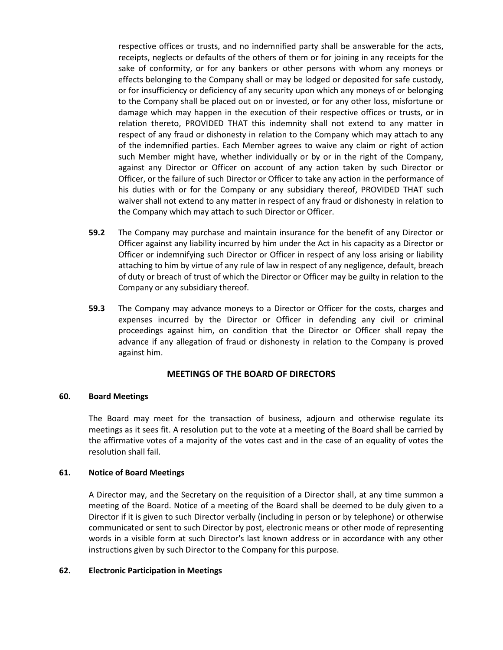respective offices or trusts, and no indemnified party shall be answerable for the acts, receipts, neglects or defaults of the others of them or for joining in any receipts for the sake of conformity, or for any bankers or other persons with whom any moneys or effects belonging to the Company shall or may be lodged or deposited for safe custody, or for insufficiency or deficiency of any security upon which any moneys of or belonging to the Company shall be placed out on or invested, or for any other loss, misfortune or damage which may happen in the execution of their respective offices or trusts, or in relation thereto, PROVIDED THAT this indemnity shall not extend to any matter in respect of any fraud or dishonesty in relation to the Company which may attach to any of the indemnified parties. Each Member agrees to waive any claim or right of action such Member might have, whether individually or by or in the right of the Company, against any Director or Officer on account of any action taken by such Director or Officer, or the failure of such Director or Officer to take any action in the performance of his duties with or for the Company or any subsidiary thereof, PROVIDED THAT such waiver shall not extend to any matter in respect of any fraud or dishonesty in relation to the Company which may attach to such Director or Officer.

- **59.2** The Company may purchase and maintain insurance for the benefit of any Director or Officer against any liability incurred by him under the Act in his capacity as a Director or Officer or indemnifying such Director or Officer in respect of any loss arising or liability attaching to him by virtue of any rule of law in respect of any negligence, default, breach of duty or breach of trust of which the Director or Officer may be guilty in relation to the Company or any subsidiary thereof.
- **59.3** The Company may advance moneys to a Director or Officer for the costs, charges and expenses incurred by the Director or Officer in defending any civil or criminal proceedings against him, on condition that the Director or Officer shall repay the advance if any allegation of fraud or dishonesty in relation to the Company is proved against him.

## **MEETINGS OF THE BOARD OF DIRECTORS**

#### **60. Board Meetings**

The Board may meet for the transaction of business, adjourn and otherwise regulate its meetings as it sees fit. A resolution put to the vote at a meeting of the Board shall be carried by the affirmative votes of a majority of the votes cast and in the case of an equality of votes the resolution shall fail.

## **61. Notice of Board Meetings**

A Director may, and the Secretary on the requisition of a Director shall, at any time summon a meeting of the Board. Notice of a meeting of the Board shall be deemed to be duly given to a Director if it is given to such Director verbally (including in person or by telephone) or otherwise communicated or sent to such Director by post, electronic means or other mode of representing words in a visible form at such Director's last known address or in accordance with any other instructions given by such Director to the Company for this purpose.

#### **62. Electronic Participation in Meetings**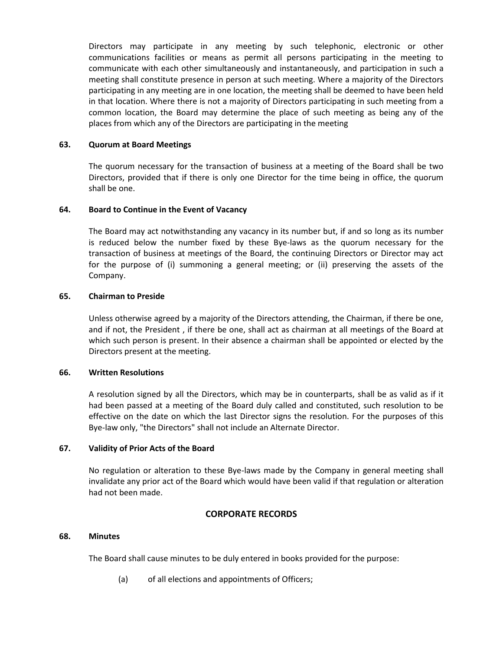Directors may participate in any meeting by such telephonic, electronic or other communications facilities or means as permit all persons participating in the meeting to communicate with each other simultaneously and instantaneously, and participation in such a meeting shall constitute presence in person at such meeting. Where a majority of the Directors participating in any meeting are in one location, the meeting shall be deemed to have been held in that location. Where there is not a majority of Directors participating in such meeting from a common location, the Board may determine the place of such meeting as being any of the places from which any of the Directors are participating in the meeting

## **63. Quorum at Board Meetings**

The quorum necessary for the transaction of business at a meeting of the Board shall be two Directors, provided that if there is only one Director for the time being in office, the quorum shall be one.

## **64. Board to Continue in the Event of Vacancy**

The Board may act notwithstanding any vacancy in its number but, if and so long as its number is reduced below the number fixed by these Bye-laws as the quorum necessary for the transaction of business at meetings of the Board, the continuing Directors or Director may act for the purpose of (i) summoning a general meeting; or (ii) preserving the assets of the Company.

#### **65. Chairman to Preside**

Unless otherwise agreed by a majority of the Directors attending, the Chairman, if there be one, and if not, the President , if there be one, shall act as chairman at all meetings of the Board at which such person is present. In their absence a chairman shall be appointed or elected by the Directors present at the meeting.

#### **66. Written Resolutions**

A resolution signed by all the Directors, which may be in counterparts, shall be as valid as if it had been passed at a meeting of the Board duly called and constituted, such resolution to be effective on the date on which the last Director signs the resolution. For the purposes of this Bye-law only, "the Directors" shall not include an Alternate Director.

#### **67. Validity of Prior Acts of the Board**

No regulation or alteration to these Bye-laws made by the Company in general meeting shall invalidate any prior act of the Board which would have been valid if that regulation or alteration had not been made.

## **CORPORATE RECORDS**

#### **68. Minutes**

The Board shall cause minutes to be duly entered in books provided for the purpose:

(a) of all elections and appointments of Officers;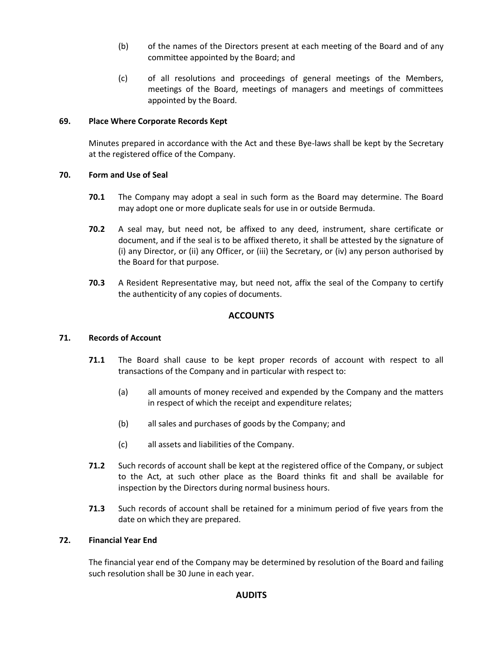- (b) of the names of the Directors present at each meeting of the Board and of any committee appointed by the Board; and
- (c) of all resolutions and proceedings of general meetings of the Members, meetings of the Board, meetings of managers and meetings of committees appointed by the Board.

## **69. Place Where Corporate Records Kept**

Minutes prepared in accordance with the Act and these Bye-laws shall be kept by the Secretary at the registered office of the Company.

#### **70. Form and Use of Seal**

- **70.1** The Company may adopt a seal in such form as the Board may determine. The Board may adopt one or more duplicate seals for use in or outside Bermuda.
- **70.2** A seal may, but need not, be affixed to any deed, instrument, share certificate or document, and if the seal is to be affixed thereto, it shall be attested by the signature of (i) any Director, or (ii) any Officer, or (iii) the Secretary, or (iv) any person authorised by the Board for that purpose.
- **70.3** A Resident Representative may, but need not, affix the seal of the Company to certify the authenticity of any copies of documents.

# **ACCOUNTS**

## **71. Records of Account**

- **71.1** The Board shall cause to be kept proper records of account with respect to all transactions of the Company and in particular with respect to:
	- (a) all amounts of money received and expended by the Company and the matters in respect of which the receipt and expenditure relates;
	- (b) all sales and purchases of goods by the Company; and
	- (c) all assets and liabilities of the Company.
- **71.2** Such records of account shall be kept at the registered office of the Company, or subject to the Act, at such other place as the Board thinks fit and shall be available for inspection by the Directors during normal business hours.
- **71.3** Such records of account shall be retained for a minimum period of five years from the date on which they are prepared.

#### **72. Financial Year End**

The financial year end of the Company may be determined by resolution of the Board and failing such resolution shall be 30 June in each year.

## **AUDITS**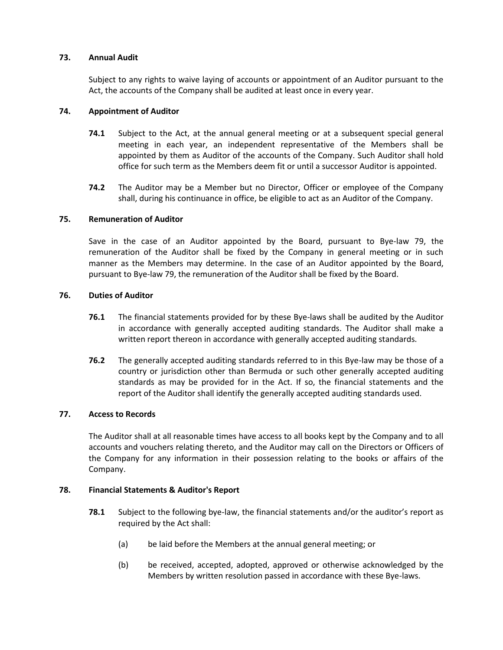#### **73. Annual Audit**

Subject to any rights to waive laying of accounts or appointment of an Auditor pursuant to the Act, the accounts of the Company shall be audited at least once in every year.

#### **74. Appointment of Auditor**

- **74.1** Subject to the Act, at the annual general meeting or at a subsequent special general meeting in each year, an independent representative of the Members shall be appointed by them as Auditor of the accounts of the Company. Such Auditor shall hold office for such term as the Members deem fit or until a successor Auditor is appointed.
- **74.2** The Auditor may be a Member but no Director, Officer or employee of the Company shall, during his continuance in office, be eligible to act as an Auditor of the Company.

#### **75. Remuneration of Auditor**

Save in the case of an Auditor appointed by the Board, pursuant to Bye-law [79,](#page-37-0) the remuneration of the Auditor shall be fixed by the Company in general meeting or in such manner as the Members may determine. In the case of an Auditor appointed by the Board, pursuant to Bye-la[w 79,](#page-37-0) the remuneration of the Auditor shall be fixed by the Board.

#### **76. Duties of Auditor**

- **76.1** The financial statements provided for by these Bye-laws shall be audited by the Auditor in accordance with generally accepted auditing standards. The Auditor shall make a written report thereon in accordance with generally accepted auditing standards.
- **76.2** The generally accepted auditing standards referred to in this Bye-law may be those of a country or jurisdiction other than Bermuda or such other generally accepted auditing standards as may be provided for in the Act. If so, the financial statements and the report of the Auditor shall identify the generally accepted auditing standards used.

#### **77. Access to Records**

The Auditor shall at all reasonable times have access to all books kept by the Company and to all accounts and vouchers relating thereto, and the Auditor may call on the Directors or Officers of the Company for any information in their possession relating to the books or affairs of the Company.

#### **78. Financial Statements & Auditor's Report**

- **78.1** Subject to the following bye-law, the financial statements and/or the auditor's report as required by the Act shall:
	- (a) be laid before the Members at the annual general meeting; or
	- (b) be received, accepted, adopted, approved or otherwise acknowledged by the Members by written resolution passed in accordance with these Bye-laws.